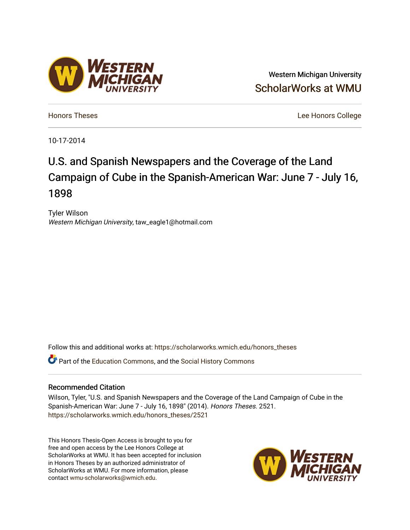## Western Michigan University [ScholarWorks at WMU](https://scholarworks.wmich.edu/)

[Honors Theses](https://scholarworks.wmich.edu/honors_theses) [Lee Honors College](https://scholarworks.wmich.edu/honors) 

10-17-2014

# U.S. and Spanish Newspapers and the Coverage of the Land Campaign of Cube in the Spanish-American War: June 7 - July 16, 1898

Tyler Wilson Western Michigan University, taw\_eagle1@hotmail.com

Follow this and additional works at: [https://scholarworks.wmich.edu/honors\\_theses](https://scholarworks.wmich.edu/honors_theses?utm_source=scholarworks.wmich.edu%2Fhonors_theses%2F2521&utm_medium=PDF&utm_campaign=PDFCoverPages)

**C** Part of the [Education Commons](http://network.bepress.com/hgg/discipline/784?utm_source=scholarworks.wmich.edu%2Fhonors_theses%2F2521&utm_medium=PDF&utm_campaign=PDFCoverPages), and the [Social History Commons](http://network.bepress.com/hgg/discipline/506?utm_source=scholarworks.wmich.edu%2Fhonors_theses%2F2521&utm_medium=PDF&utm_campaign=PDFCoverPages)

## Recommended Citation

Wilson, Tyler, "U.S. and Spanish Newspapers and the Coverage of the Land Campaign of Cube in the Spanish-American War: June 7 - July 16, 1898" (2014). Honors Theses. 2521. [https://scholarworks.wmich.edu/honors\\_theses/2521](https://scholarworks.wmich.edu/honors_theses/2521?utm_source=scholarworks.wmich.edu%2Fhonors_theses%2F2521&utm_medium=PDF&utm_campaign=PDFCoverPages) 

This Honors Thesis-Open Access is brought to you for free and open access by the Lee Honors College at ScholarWorks at WMU. It has been accepted for inclusion in Honors Theses by an authorized administrator of ScholarWorks at WMU. For more information, please contact [wmu-scholarworks@wmich.edu](mailto:wmu-scholarworks@wmich.edu).



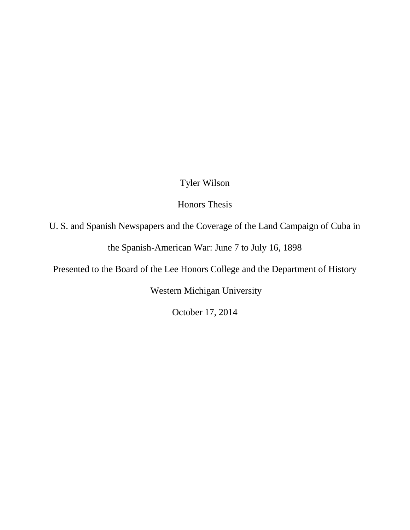## Tyler Wilson

Honors Thesis

U. S. and Spanish Newspapers and the Coverage of the Land Campaign of Cuba in

the Spanish-American War: June 7 to July 16, 1898

Presented to the Board of the Lee Honors College and the Department of History

Western Michigan University

October 17, 2014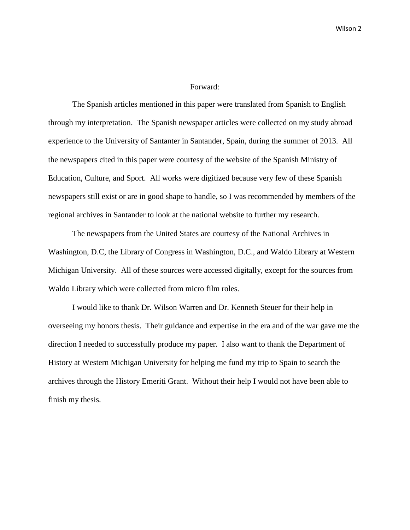#### Forward:

The Spanish articles mentioned in this paper were translated from Spanish to English through my interpretation. The Spanish newspaper articles were collected on my study abroad experience to the University of Santanter in Santander, Spain, during the summer of 2013. All the newspapers cited in this paper were courtesy of the website of the Spanish Ministry of Education, Culture, and Sport. All works were digitized because very few of these Spanish newspapers still exist or are in good shape to handle, so I was recommended by members of the regional archives in Santander to look at the national website to further my research.

The newspapers from the United States are courtesy of the National Archives in Washington, D.C, the Library of Congress in Washington, D.C., and Waldo Library at Western Michigan University. All of these sources were accessed digitally, except for the sources from Waldo Library which were collected from micro film roles.

I would like to thank Dr. Wilson Warren and Dr. Kenneth Steuer for their help in overseeing my honors thesis. Their guidance and expertise in the era and of the war gave me the direction I needed to successfully produce my paper. I also want to thank the Department of History at Western Michigan University for helping me fund my trip to Spain to search the archives through the History Emeriti Grant. Without their help I would not have been able to finish my thesis.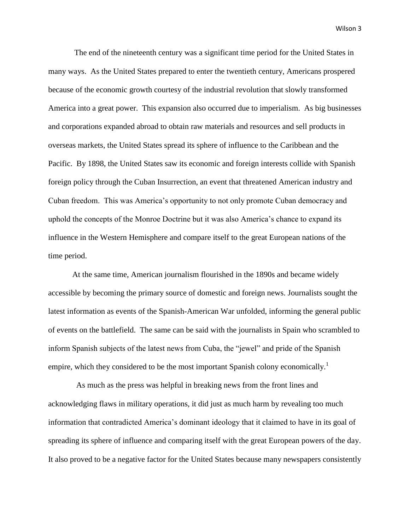The end of the nineteenth century was a significant time period for the United States in many ways. As the United States prepared to enter the twentieth century, Americans prospered because of the economic growth courtesy of the industrial revolution that slowly transformed America into a great power. This expansion also occurred due to imperialism. As big businesses and corporations expanded abroad to obtain raw materials and resources and sell products in overseas markets, the United States spread its sphere of influence to the Caribbean and the Pacific. By 1898, the United States saw its economic and foreign interests collide with Spanish foreign policy through the Cuban Insurrection, an event that threatened American industry and Cuban freedom. This was America's opportunity to not only promote Cuban democracy and uphold the concepts of the Monroe Doctrine but it was also America's chance to expand its influence in the Western Hemisphere and compare itself to the great European nations of the time period.

At the same time, American journalism flourished in the 1890s and became widely accessible by becoming the primary source of domestic and foreign news. Journalists sought the latest information as events of the Spanish-American War unfolded, informing the general public of events on the battlefield. The same can be said with the journalists in Spain who scrambled to inform Spanish subjects of the latest news from Cuba, the "jewel" and pride of the Spanish empire, which they considered to be the most important Spanish colony economically.<sup>1</sup>

 As much as the press was helpful in breaking news from the front lines and acknowledging flaws in military operations, it did just as much harm by revealing too much information that contradicted America's dominant ideology that it claimed to have in its goal of spreading its sphere of influence and comparing itself with the great European powers of the day. It also proved to be a negative factor for the United States because many newspapers consistently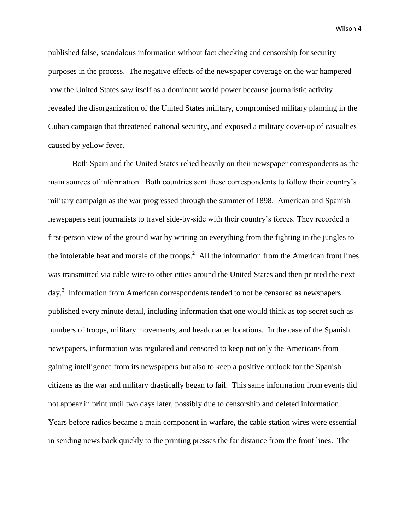published false, scandalous information without fact checking and censorship for security purposes in the process. The negative effects of the newspaper coverage on the war hampered how the United States saw itself as a dominant world power because journalistic activity revealed the disorganization of the United States military, compromised military planning in the Cuban campaign that threatened national security, and exposed a military cover-up of casualties caused by yellow fever.

Both Spain and the United States relied heavily on their newspaper correspondents as the main sources of information. Both countries sent these correspondents to follow their country's military campaign as the war progressed through the summer of 1898. American and Spanish newspapers sent journalists to travel side-by-side with their country's forces. They recorded a first-person view of the ground war by writing on everything from the fighting in the jungles to the intolerable heat and morale of the troops.<sup>2</sup> All the information from the American front lines was transmitted via cable wire to other cities around the United States and then printed the next day.<sup>3</sup> Information from American correspondents tended to not be censored as newspapers published every minute detail, including information that one would think as top secret such as numbers of troops, military movements, and headquarter locations. In the case of the Spanish newspapers, information was regulated and censored to keep not only the Americans from gaining intelligence from its newspapers but also to keep a positive outlook for the Spanish citizens as the war and military drastically began to fail. This same information from events did not appear in print until two days later, possibly due to censorship and deleted information. Years before radios became a main component in warfare, the cable station wires were essential in sending news back quickly to the printing presses the far distance from the front lines. The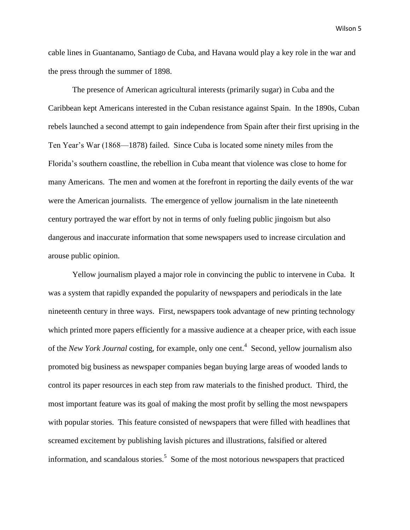cable lines in Guantanamo, Santiago de Cuba, and Havana would play a key role in the war and the press through the summer of 1898.

The presence of American agricultural interests (primarily sugar) in Cuba and the Caribbean kept Americans interested in the Cuban resistance against Spain. In the 1890s, Cuban rebels launched a second attempt to gain independence from Spain after their first uprising in the Ten Year's War (1868—1878) failed. Since Cuba is located some ninety miles from the Florida's southern coastline, the rebellion in Cuba meant that violence was close to home for many Americans. The men and women at the forefront in reporting the daily events of the war were the American journalists. The emergence of yellow journalism in the late nineteenth century portrayed the war effort by not in terms of only fueling public jingoism but also dangerous and inaccurate information that some newspapers used to increase circulation and arouse public opinion.

Yellow journalism played a major role in convincing the public to intervene in Cuba. It was a system that rapidly expanded the popularity of newspapers and periodicals in the late nineteenth century in three ways. First, newspapers took advantage of new printing technology which printed more papers efficiently for a massive audience at a cheaper price, with each issue of the *New York Journal* costing, for example, only one cent.<sup>4</sup> Second, yellow journalism also promoted big business as newspaper companies began buying large areas of wooded lands to control its paper resources in each step from raw materials to the finished product. Third, the most important feature was its goal of making the most profit by selling the most newspapers with popular stories. This feature consisted of newspapers that were filled with headlines that screamed excitement by publishing lavish pictures and illustrations, falsified or altered information, and scandalous stories.<sup>5</sup> Some of the most notorious newspapers that practiced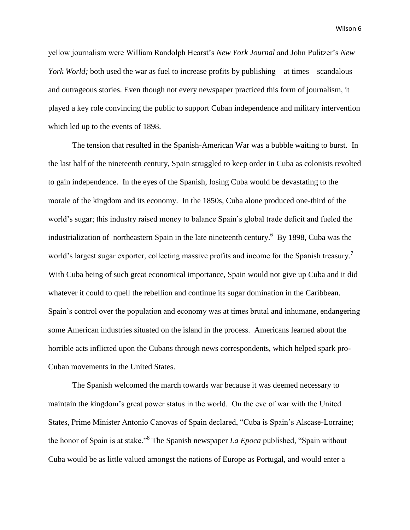yellow journalism were William Randolph Hearst's *New York Journal* and John Pulitzer's *New York World*; both used the war as fuel to increase profits by publishing—at times—scandalous and outrageous stories. Even though not every newspaper practiced this form of journalism, it played a key role convincing the public to support Cuban independence and military intervention which led up to the events of 1898.

The tension that resulted in the Spanish-American War was a bubble waiting to burst. In the last half of the nineteenth century, Spain struggled to keep order in Cuba as colonists revolted to gain independence. In the eyes of the Spanish, losing Cuba would be devastating to the morale of the kingdom and its economy. In the 1850s, Cuba alone produced one-third of the world's sugar; this industry raised money to balance Spain's global trade deficit and fueled the industrialization of northeastern Spain in the late nineteenth century.<sup>6</sup> By 1898, Cuba was the world's largest sugar exporter, collecting massive profits and income for the Spanish treasury.<sup>7</sup> With Cuba being of such great economical importance, Spain would not give up Cuba and it did whatever it could to quell the rebellion and continue its sugar domination in the Caribbean. Spain's control over the population and economy was at times brutal and inhumane, endangering some American industries situated on the island in the process. Americans learned about the horrible acts inflicted upon the Cubans through news correspondents, which helped spark pro-Cuban movements in the United States.

The Spanish welcomed the march towards war because it was deemed necessary to maintain the kingdom's great power status in the world. On the eve of war with the United States, Prime Minister Antonio Canovas of Spain declared, "Cuba is Spain's Alscase-Lorraine; the honor of Spain is at stake.<sup>38</sup> The Spanish newspaper *La Epoca* published, "Spain without Cuba would be as little valued amongst the nations of Europe as Portugal, and would enter a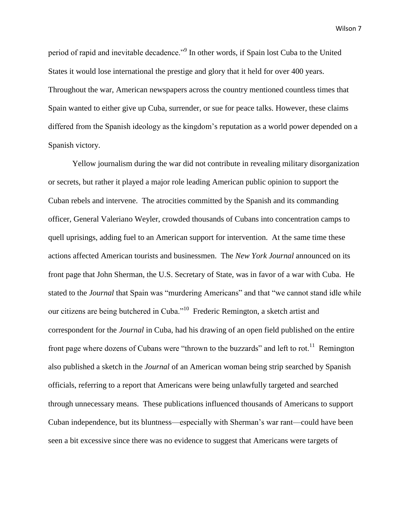period of rapid and inevitable decadence."<sup>9</sup> In other words, if Spain lost Cuba to the United States it would lose international the prestige and glory that it held for over 400 years. Throughout the war, American newspapers across the country mentioned countless times that Spain wanted to either give up Cuba, surrender, or sue for peace talks. However, these claims differed from the Spanish ideology as the kingdom's reputation as a world power depended on a Spanish victory.

Yellow journalism during the war did not contribute in revealing military disorganization or secrets, but rather it played a major role leading American public opinion to support the Cuban rebels and intervene. The atrocities committed by the Spanish and its commanding officer, General Valeriano Weyler, crowded thousands of Cubans into concentration camps to quell uprisings, adding fuel to an American support for intervention. At the same time these actions affected American tourists and businessmen. The *New York Journal* announced on its front page that John Sherman, the U.S. Secretary of State, was in favor of a war with Cuba. He stated to the *Journal* that Spain was "murdering Americans" and that "we cannot stand idle while our citizens are being butchered in Cuba."<sup>10</sup> Frederic Remington, a sketch artist and correspondent for the *Journal* in Cuba, had his drawing of an open field published on the entire front page where dozens of Cubans were "thrown to the buzzards" and left to rot.<sup>11</sup> Remington also published a sketch in the *Journal* of an American woman being strip searched by Spanish officials, referring to a report that Americans were being unlawfully targeted and searched through unnecessary means. These publications influenced thousands of Americans to support Cuban independence, but its bluntness—especially with Sherman's war rant—could have been seen a bit excessive since there was no evidence to suggest that Americans were targets of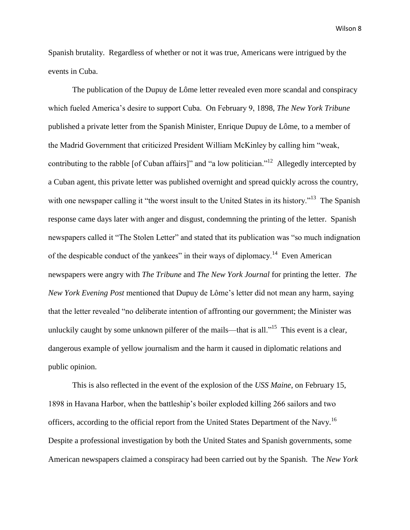Spanish brutality. Regardless of whether or not it was true, Americans were intrigued by the events in Cuba.

The publication of the Dupuy de Lôme letter revealed even more scandal and conspiracy which fueled America's desire to support Cuba. On February 9, 1898, *The New York Tribune* published a private letter from the Spanish Minister, Enrique Dupuy de Lôme, to a member of the Madrid Government that criticized President William McKinley by calling him "weak, contributing to the rabble [of Cuban affairs]" and "a low politician."<sup>12</sup> Allegedly intercepted by a Cuban agent, this private letter was published overnight and spread quickly across the country, with one newspaper calling it "the worst insult to the United States in its history."<sup>13</sup> The Spanish response came days later with anger and disgust, condemning the printing of the letter. Spanish newspapers called it "The Stolen Letter" and stated that its publication was "so much indignation of the despicable conduct of the yankees" in their ways of diplomacy.<sup>14</sup> Even American newspapers were angry with *The Tribune* and *The New York Journal* for printing the letter. *The New York Evening Post* mentioned that Dupuy de Lôme's letter did not mean any harm, saying that the letter revealed "no deliberate intention of affronting our government; the Minister was unluckily caught by some unknown pilferer of the mails—that is all."<sup>15</sup> This event is a clear, dangerous example of yellow journalism and the harm it caused in diplomatic relations and public opinion.

This is also reflected in the event of the explosion of the *USS Maine*, on February 15, 1898 in Havana Harbor, when the battleship's boiler exploded killing 266 sailors and two officers, according to the official report from the United States Department of the Navy.<sup>16</sup> Despite a professional investigation by both the United States and Spanish governments, some American newspapers claimed a conspiracy had been carried out by the Spanish. The *New York*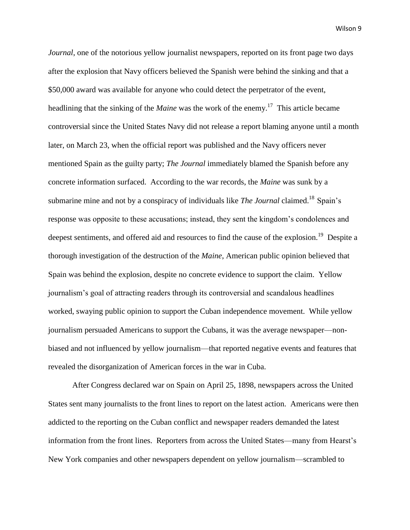*Journal*, one of the notorious yellow journalist newspapers, reported on its front page two days after the explosion that Navy officers believed the Spanish were behind the sinking and that a \$50,000 award was available for anyone who could detect the perpetrator of the event, headlining that the sinking of the *Maine* was the work of the enemy.<sup>17</sup> This article became controversial since the United States Navy did not release a report blaming anyone until a month later, on March 23, when the official report was published and the Navy officers never mentioned Spain as the guilty party; *The Journal* immediately blamed the Spanish before any concrete information surfaced. According to the war records, the *Maine* was sunk by a submarine mine and not by a conspiracy of individuals like *The Journal* claimed.<sup>18</sup> Spain's response was opposite to these accusations; instead, they sent the kingdom's condolences and deepest sentiments, and offered aid and resources to find the cause of the explosion.<sup>19</sup> Despite a thorough investigation of the destruction of the *Maine*, American public opinion believed that Spain was behind the explosion, despite no concrete evidence to support the claim. Yellow journalism's goal of attracting readers through its controversial and scandalous headlines worked, swaying public opinion to support the Cuban independence movement. While yellow journalism persuaded Americans to support the Cubans, it was the average newspaper—nonbiased and not influenced by yellow journalism—that reported negative events and features that revealed the disorganization of American forces in the war in Cuba.

After Congress declared war on Spain on April 25, 1898, newspapers across the United States sent many journalists to the front lines to report on the latest action. Americans were then addicted to the reporting on the Cuban conflict and newspaper readers demanded the latest information from the front lines. Reporters from across the United States—many from Hearst's New York companies and other newspapers dependent on yellow journalism—scrambled to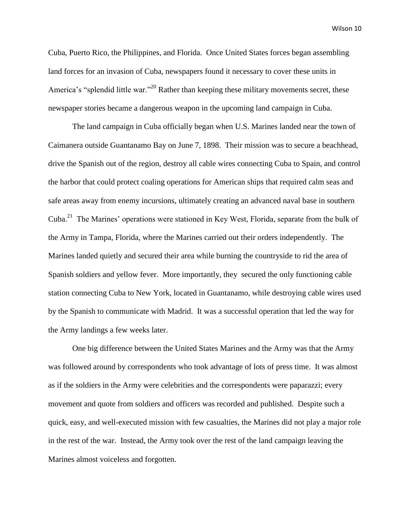Cuba, Puerto Rico, the Philippines, and Florida. Once United States forces began assembling land forces for an invasion of Cuba, newspapers found it necessary to cover these units in America's "splendid little war."<sup>20</sup> Rather than keeping these military movements secret, these newspaper stories became a dangerous weapon in the upcoming land campaign in Cuba.

The land campaign in Cuba officially began when U.S. Marines landed near the town of Caimanera outside Guantanamo Bay on June 7, 1898. Their mission was to secure a beachhead, drive the Spanish out of the region, destroy all cable wires connecting Cuba to Spain, and control the harbor that could protect coaling operations for American ships that required calm seas and safe areas away from enemy incursions, ultimately creating an advanced naval base in southern Cuba.<sup>21</sup> The Marines' operations were stationed in Key West, Florida, separate from the bulk of the Army in Tampa, Florida, where the Marines carried out their orders independently. The Marines landed quietly and secured their area while burning the countryside to rid the area of Spanish soldiers and yellow fever. More importantly, they secured the only functioning cable station connecting Cuba to New York, located in Guantanamo, while destroying cable wires used by the Spanish to communicate with Madrid. It was a successful operation that led the way for the Army landings a few weeks later.

One big difference between the United States Marines and the Army was that the Army was followed around by correspondents who took advantage of lots of press time. It was almost as if the soldiers in the Army were celebrities and the correspondents were paparazzi; every movement and quote from soldiers and officers was recorded and published. Despite such a quick, easy, and well-executed mission with few casualties, the Marines did not play a major role in the rest of the war. Instead, the Army took over the rest of the land campaign leaving the Marines almost voiceless and forgotten.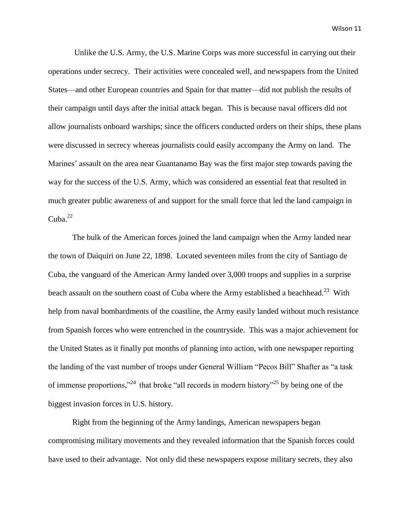Unlike the U.S. Army, the U.S. Marine Corps was more successful in carrying out their operations under secrecy. Their activities were concealed well, and newspapers from the United States—and other European countries and Spain for that matter—did not publish the results of their campaign until days after the initial attack began. This is because naval officers did not allow journalists onboard warships; since the officers conducted orders on their ships, these plans were discussed in secrecy whereas journalists could easily accompany the Army on land. The Marines' assault on the area near Guantanamo Bay was the first major step towards paving the way for the success of the U.S. Army, which was considered an essential feat that resulted in much greater public awareness of and support for the small force that led the land campaign in  $Cuba.<sup>22</sup>$ 

The bulk of the American forces joined the land campaign when the Army landed near the town of Daiquiri on June 22, 1898. Located seventeen miles from the city of Santiago de Cuba, the vanguard of the American Army landed over 3,000 troops and supplies in a surprise beach assault on the southern coast of Cuba where the Army established a beachhead.<sup>23</sup> With help from naval bombardments of the coastline, the Army easily landed without much resistance from Spanish forces who were entrenched in the countryside. This was a major achievement for the United States as it finally put months of planning into action, with one newspaper reporting the landing of the vast number of troops under General William "Pecos Bill" Shafter as "a task of immense proportions,"<sup>24</sup> that broke "all records in modern history"<sup>25</sup> by being one of the biggest invasion forces in U.S. history.

Right from the beginning of the Army landings, American newspapers began compromising military movements and they revealed information that the Spanish forces could have used to their advantage. Not only did these newspapers expose military secrets, they also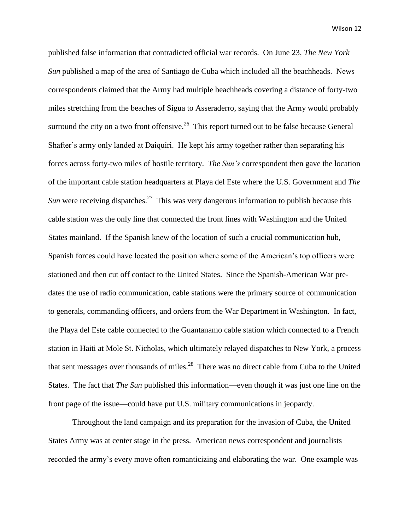published false information that contradicted official war records. On June 23, *The New York Sun* published a map of the area of Santiago de Cuba which included all the beachheads. News correspondents claimed that the Army had multiple beachheads covering a distance of forty-two miles stretching from the beaches of Sigua to Asseraderro, saying that the Army would probably surround the city on a two front offensive.<sup>26</sup> This report turned out to be false because General Shafter's army only landed at Daiquiri. He kept his army together rather than separating his forces across forty-two miles of hostile territory. *The Sun's* correspondent then gave the location of the important cable station headquarters at Playa del Este where the U.S. Government and *The Sun* were receiving dispatches.<sup>27</sup> This was very dangerous information to publish because this cable station was the only line that connected the front lines with Washington and the United States mainland. If the Spanish knew of the location of such a crucial communication hub, Spanish forces could have located the position where some of the American's top officers were stationed and then cut off contact to the United States. Since the Spanish-American War predates the use of radio communication, cable stations were the primary source of communication to generals, commanding officers, and orders from the War Department in Washington. In fact, the Playa del Este cable connected to the Guantanamo cable station which connected to a French station in Haiti at Mole St. Nicholas, which ultimately relayed dispatches to New York, a process that sent messages over thousands of miles.<sup>28</sup> There was no direct cable from Cuba to the United States. The fact that *The Sun* published this information—even though it was just one line on the front page of the issue—could have put U.S. military communications in jeopardy.

Throughout the land campaign and its preparation for the invasion of Cuba, the United States Army was at center stage in the press. American news correspondent and journalists recorded the army's every move often romanticizing and elaborating the war. One example was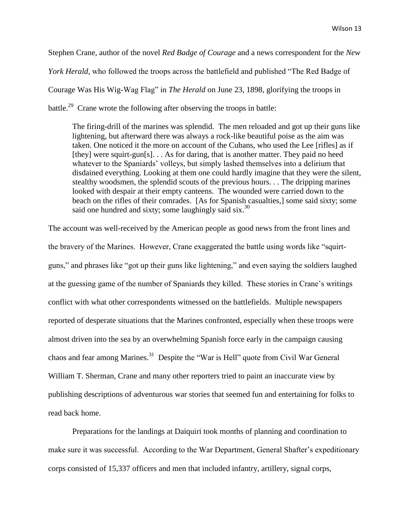Stephen Crane, author of the novel *Red Badge of Courage* and a news correspondent for the *New* 

*York Herald,* who followed the troops across the battlefield and published "The Red Badge of

Courage Was His Wig-Wag Flag" in *The Herald* on June 23, 1898, glorifying the troops in

battle.<sup>29</sup> Crane wrote the following after observing the troops in battle:

The firing-drill of the marines was splendid. The men reloaded and got up their guns like lightening, but afterward there was always a rock-like beautiful poise as the aim was taken. One noticed it the more on account of the Cubans, who used the Lee [rifles] as if [they] were squirt-gun[s]. . . As for daring, that is another matter. They paid no heed whatever to the Spaniards' volleys, but simply lashed themselves into a delirium that disdained everything. Looking at them one could hardly imagine that they were the silent, stealthy woodsmen, the splendid scouts of the previous hours. . . The dripping marines looked with despair at their empty canteens. The wounded were carried down to the beach on the rifles of their comrades. [As for Spanish casualties,] some said sixty; some said one hundred and sixty; some laughingly said  $\sin^{30}$ 

The account was well-received by the American people as good news from the front lines and the bravery of the Marines. However, Crane exaggerated the battle using words like "squirtguns," and phrases like "got up their guns like lightening," and even saying the soldiers laughed at the guessing game of the number of Spaniards they killed. These stories in Crane's writings conflict with what other correspondents witnessed on the battlefields. Multiple newspapers reported of desperate situations that the Marines confronted, especially when these troops were almost driven into the sea by an overwhelming Spanish force early in the campaign causing chaos and fear among Marines.<sup>31</sup> Despite the "War is Hell" quote from Civil War General William T. Sherman, Crane and many other reporters tried to paint an inaccurate view by publishing descriptions of adventurous war stories that seemed fun and entertaining for folks to read back home.

Preparations for the landings at Daiquiri took months of planning and coordination to make sure it was successful. According to the War Department, General Shafter's expeditionary corps consisted of 15,337 officers and men that included infantry, artillery, signal corps,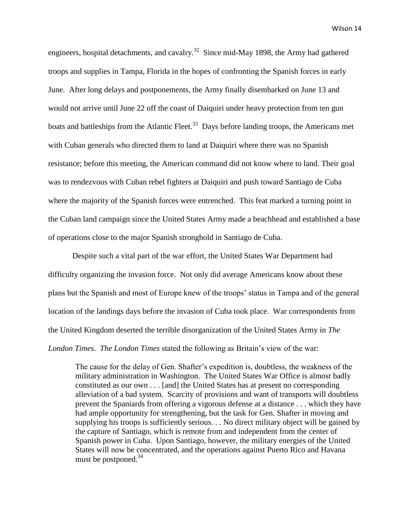engineers, hospital detachments, and cavalry.<sup>32</sup> Since mid-May 1898, the Army had gathered troops and supplies in Tampa, Florida in the hopes of confronting the Spanish forces in early June. After long delays and postponements, the Army finally disembarked on June 13 and would not arrive until June 22 off the coast of Daiquiri under heavy protection from ten gun boats and battleships from the Atlantic Fleet.<sup>33</sup> Days before landing troops, the Americans met with Cuban generals who directed them to land at Daiquiri where there was no Spanish resistance; before this meeting, the American command did not know where to land. Their goal was to rendezvous with Cuban rebel fighters at Daiquiri and push toward Santiago de Cuba where the majority of the Spanish forces were entrenched. This feat marked a turning point in the Cuban land campaign since the United States Army made a beachhead and established a base of operations close to the major Spanish stronghold in Santiago de Cuba.

Despite such a vital part of the war effort, the United States War Department had difficulty organizing the invasion force. Not only did average Americans know about these plans but the Spanish and most of Europe knew of the troops' status in Tampa and of the general location of the landings days before the invasion of Cuba took place. War correspondents from the United Kingdom deserted the terrible disorganization of the United States Army in *The London Times*. *The London Times* stated the following as Britain's view of the war:

The cause for the delay of Gen. Shafter's expedition is, doubtless, the weakness of the military administration in Washington. The United States War Office is almost badly constituted as our own . . . [and] the United States has at present no corresponding alleviation of a bad system. Scarcity of provisions and want of transports will doubtless prevent the Spaniards from offering a vigorous defense at a distance . . . which they have had ample opportunity for strengthening, but the task for Gen. Shafter in moving and supplying his troops is sufficiently serious. . . No direct military object will be gained by the capture of Santiago, which is remote from and independent from the center of Spanish power in Cuba. Upon Santiago, however, the military energies of the United States will now be concentrated, and the operations against Puerto Rico and Havana must be postponed.<sup>34</sup>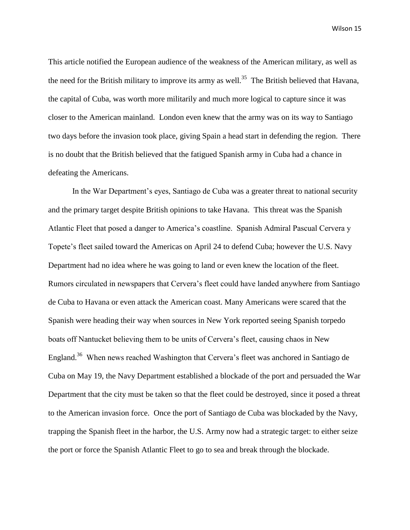This article notified the European audience of the weakness of the American military, as well as the need for the British military to improve its army as well.<sup>35</sup> The British believed that Havana, the capital of Cuba, was worth more militarily and much more logical to capture since it was closer to the American mainland. London even knew that the army was on its way to Santiago two days before the invasion took place, giving Spain a head start in defending the region. There is no doubt that the British believed that the fatigued Spanish army in Cuba had a chance in defeating the Americans.

In the War Department's eyes, Santiago de Cuba was a greater threat to national security and the primary target despite British opinions to take Havana. This threat was the Spanish Atlantic Fleet that posed a danger to America's coastline. Spanish Admiral Pascual Cervera y Topete's fleet sailed toward the Americas on April 24 to defend Cuba; however the U.S. Navy Department had no idea where he was going to land or even knew the location of the fleet. Rumors circulated in newspapers that Cervera's fleet could have landed anywhere from Santiago de Cuba to Havana or even attack the American coast. Many Americans were scared that the Spanish were heading their way when sources in New York reported seeing Spanish torpedo boats off Nantucket believing them to be units of Cervera's fleet, causing chaos in New England.<sup>36</sup> When news reached Washington that Cervera's fleet was anchored in Santiago de Cuba on May 19, the Navy Department established a blockade of the port and persuaded the War Department that the city must be taken so that the fleet could be destroyed, since it posed a threat to the American invasion force. Once the port of Santiago de Cuba was blockaded by the Navy, trapping the Spanish fleet in the harbor, the U.S. Army now had a strategic target: to either seize the port or force the Spanish Atlantic Fleet to go to sea and break through the blockade.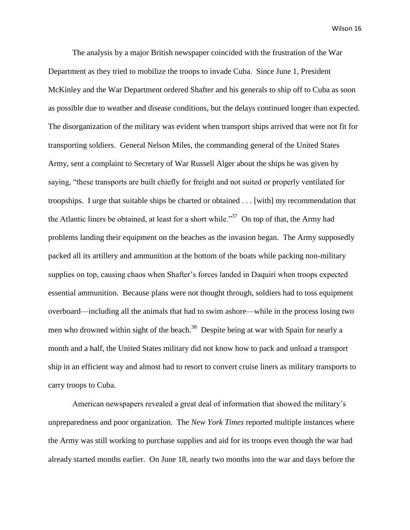The analysis by a major British newspaper coincided with the frustration of the War Department as they tried to mobilize the troops to invade Cuba. Since June 1, President McKinley and the War Department ordered Shafter and his generals to ship off to Cuba as soon as possible due to weather and disease conditions, but the delays continued longer than expected. The disorganization of the military was evident when transport ships arrived that were not fit for transporting soldiers. General Nelson Miles, the commanding general of the United States Army, sent a complaint to Secretary of War Russell Alger about the ships he was given by saying, "these transports are built chiefly for freight and not suited or properly ventilated for troopships. I urge that suitable ships be charted or obtained . . . [with] my recommendation that the Atlantic liners be obtained, at least for a short while.<sup>37</sup> On top of that, the Army had problems landing their equipment on the beaches as the invasion began. The Army supposedly packed all its artillery and ammunition at the bottom of the boats while packing non-military supplies on top, causing chaos when Shafter's forces landed in Daquiri when troops expected essential ammunition. Because plans were not thought through, soldiers had to toss equipment overboard—including all the animals that had to swim ashore—while in the process losing two men who drowned within sight of the beach.<sup>38</sup> Despite being at war with Spain for nearly a month and a half, the United States military did not know how to pack and unload a transport ship in an efficient way and almost had to resort to convert cruise liners as military transports to carry troops to Cuba.

American newspapers revealed a great deal of information that showed the military's unpreparedness and poor organization. The *New York Times* reported multiple instances where the Army was still working to purchase supplies and aid for its troops even though the war had already started months earlier. On June 18, nearly two months into the war and days before the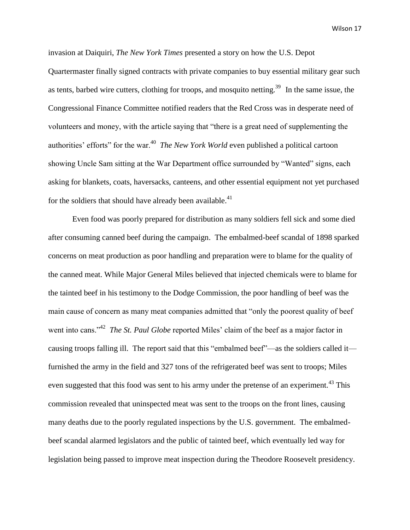invasion at Daiquiri, *The New York Times* presented a story on how the U.S. Depot Quartermaster finally signed contracts with private companies to buy essential military gear such as tents, barbed wire cutters, clothing for troops, and mosquito netting.<sup>39</sup> In the same issue, the Congressional Finance Committee notified readers that the Red Cross was in desperate need of volunteers and money, with the article saying that "there is a great need of supplementing the authorities' efforts" for the war.<sup>40</sup> *The New York World* even published a political cartoon showing Uncle Sam sitting at the War Department office surrounded by "Wanted" signs, each asking for blankets, coats, haversacks, canteens, and other essential equipment not yet purchased for the soldiers that should have already been available. $41$ 

Even food was poorly prepared for distribution as many soldiers fell sick and some died after consuming canned beef during the campaign. The embalmed-beef scandal of 1898 sparked concerns on meat production as poor handling and preparation were to blame for the quality of the canned meat. While Major General Miles believed that injected chemicals were to blame for the tainted beef in his testimony to the Dodge Commission, the poor handling of beef was the main cause of concern as many meat companies admitted that "only the poorest quality of beef went into cans."<sup>42</sup> *The St. Paul Globe* reported Miles' claim of the beef as a major factor in causing troops falling ill. The report said that this "embalmed beef"—as the soldiers called it furnished the army in the field and 327 tons of the refrigerated beef was sent to troops; Miles even suggested that this food was sent to his army under the pretense of an experiment.<sup>43</sup> This commission revealed that uninspected meat was sent to the troops on the front lines, causing many deaths due to the poorly regulated inspections by the U.S. government. The embalmedbeef scandal alarmed legislators and the public of tainted beef, which eventually led way for legislation being passed to improve meat inspection during the Theodore Roosevelt presidency.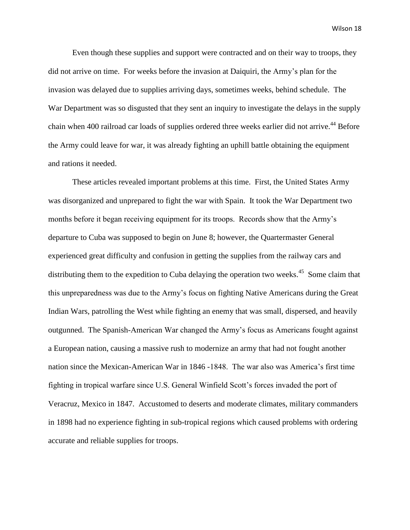Even though these supplies and support were contracted and on their way to troops, they did not arrive on time. For weeks before the invasion at Daiquiri, the Army's plan for the invasion was delayed due to supplies arriving days, sometimes weeks, behind schedule. The War Department was so disgusted that they sent an inquiry to investigate the delays in the supply chain when 400 railroad car loads of supplies ordered three weeks earlier did not arrive.<sup>44</sup> Before the Army could leave for war, it was already fighting an uphill battle obtaining the equipment and rations it needed.

These articles revealed important problems at this time. First, the United States Army was disorganized and unprepared to fight the war with Spain. It took the War Department two months before it began receiving equipment for its troops. Records show that the Army's departure to Cuba was supposed to begin on June 8; however, the Quartermaster General experienced great difficulty and confusion in getting the supplies from the railway cars and distributing them to the expedition to Cuba delaying the operation two weeks.<sup>45</sup> Some claim that this unpreparedness was due to the Army's focus on fighting Native Americans during the Great Indian Wars, patrolling the West while fighting an enemy that was small, dispersed, and heavily outgunned. The Spanish-American War changed the Army's focus as Americans fought against a European nation, causing a massive rush to modernize an army that had not fought another nation since the Mexican-American War in 1846 -1848. The war also was America's first time fighting in tropical warfare since U.S. General Winfield Scott's forces invaded the port of Veracruz, Mexico in 1847. Accustomed to deserts and moderate climates, military commanders in 1898 had no experience fighting in sub-tropical regions which caused problems with ordering accurate and reliable supplies for troops.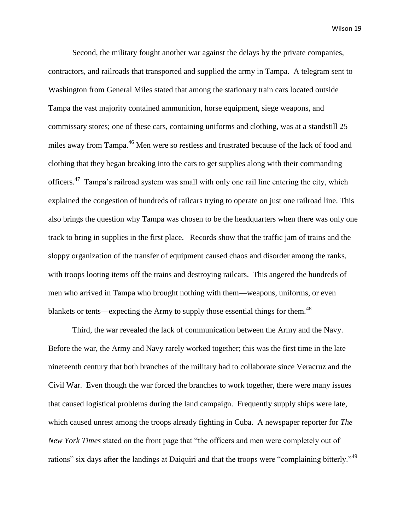Second, the military fought another war against the delays by the private companies, contractors, and railroads that transported and supplied the army in Tampa. A telegram sent to Washington from General Miles stated that among the stationary train cars located outside Tampa the vast majority contained ammunition, horse equipment, siege weapons, and commissary stores; one of these cars, containing uniforms and clothing, was at a standstill 25 miles away from Tampa.<sup>46</sup> Men were so restless and frustrated because of the lack of food and clothing that they began breaking into the cars to get supplies along with their commanding officers.<sup>47</sup> Tampa's railroad system was small with only one rail line entering the city, which explained the congestion of hundreds of railcars trying to operate on just one railroad line. This also brings the question why Tampa was chosen to be the headquarters when there was only one track to bring in supplies in the first place. Records show that the traffic jam of trains and the sloppy organization of the transfer of equipment caused chaos and disorder among the ranks, with troops looting items off the trains and destroying railcars. This angered the hundreds of men who arrived in Tampa who brought nothing with them—weapons, uniforms, or even blankets or tents—expecting the Army to supply those essential things for them. $^{48}$ 

Third, the war revealed the lack of communication between the Army and the Navy. Before the war, the Army and Navy rarely worked together; this was the first time in the late nineteenth century that both branches of the military had to collaborate since Veracruz and the Civil War. Even though the war forced the branches to work together, there were many issues that caused logistical problems during the land campaign. Frequently supply ships were late, which caused unrest among the troops already fighting in Cuba. A newspaper reporter for *The New York Times* stated on the front page that "the officers and men were completely out of rations" six days after the landings at Daiquiri and that the troops were "complaining bitterly."<sup>49</sup>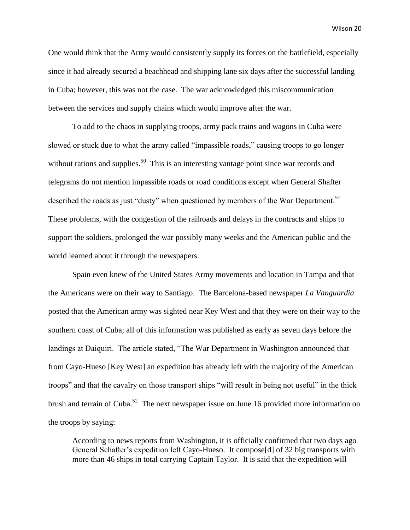One would think that the Army would consistently supply its forces on the battlefield, especially since it had already secured a beachhead and shipping lane six days after the successful landing in Cuba; however, this was not the case. The war acknowledged this miscommunication between the services and supply chains which would improve after the war.

To add to the chaos in supplying troops, army pack trains and wagons in Cuba were slowed or stuck due to what the army called "impassible roads," causing troops to go longer without rations and supplies.<sup>50</sup> This is an interesting vantage point since war records and telegrams do not mention impassible roads or road conditions except when General Shafter described the roads as just "dusty" when questioned by members of the War Department.<sup>51</sup> These problems, with the congestion of the railroads and delays in the contracts and ships to support the soldiers, prolonged the war possibly many weeks and the American public and the world learned about it through the newspapers.

Spain even knew of the United States Army movements and location in Tampa and that the Americans were on their way to Santiago. The Barcelona-based newspaper *La Vanguardia* posted that the American army was sighted near Key West and that they were on their way to the southern coast of Cuba; all of this information was published as early as seven days before the landings at Daiquiri. The article stated, "The War Department in Washington announced that from Cayo-Hueso [Key West] an expedition has already left with the majority of the American troops" and that the cavalry on those transport ships "will result in being not useful" in the thick brush and terrain of Cuba.<sup>52</sup> The next newspaper issue on June 16 provided more information on the troops by saying:

According to news reports from Washington, it is officially confirmed that two days ago General Schafter's expedition left Cayo-Hueso. It compose[d] of 32 big transports with more than 46 ships in total carrying Captain Taylor. It is said that the expedition will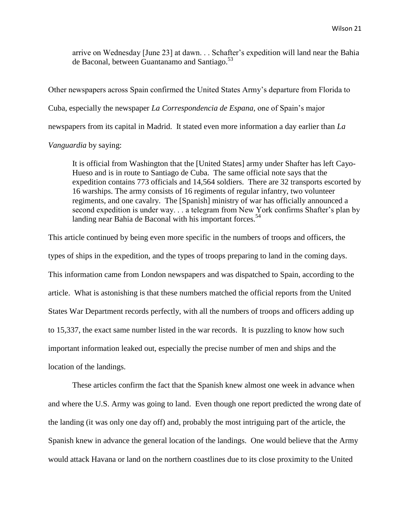arrive on Wednesday [June 23] at dawn. . . Schafter's expedition will land near the Bahia de Baconal, between Guantanamo and Santiago.<sup>53</sup>

Other newspapers across Spain confirmed the United States Army's departure from Florida to Cuba, especially the newspaper *La Correspondencia de Espana,* one of Spain's major newspapers from its capital in Madrid. It stated even more information a day earlier than *La* 

## *Vanguardia* by saying:

It is official from Washington that the [United States] army under Shafter has left Cayo-Hueso and is in route to Santiago de Cuba. The same official note says that the expedition contains 773 officials and 14,564 soldiers. There are 32 transports escorted by 16 warships. The army consists of 16 regiments of regular infantry, two volunteer regiments, and one cavalry. The [Spanish] ministry of war has officially announced a second expedition is under way. . . a telegram from New York confirms Shafter's plan by landing near Bahia de Baconal with his important forces.<sup>54</sup>

This article continued by being even more specific in the numbers of troops and officers, the types of ships in the expedition, and the types of troops preparing to land in the coming days. This information came from London newspapers and was dispatched to Spain, according to the article. What is astonishing is that these numbers matched the official reports from the United States War Department records perfectly, with all the numbers of troops and officers adding up to 15,337, the exact same number listed in the war records. It is puzzling to know how such important information leaked out, especially the precise number of men and ships and the location of the landings.

These articles confirm the fact that the Spanish knew almost one week in advance when and where the U.S. Army was going to land. Even though one report predicted the wrong date of the landing (it was only one day off) and, probably the most intriguing part of the article, the Spanish knew in advance the general location of the landings. One would believe that the Army would attack Havana or land on the northern coastlines due to its close proximity to the United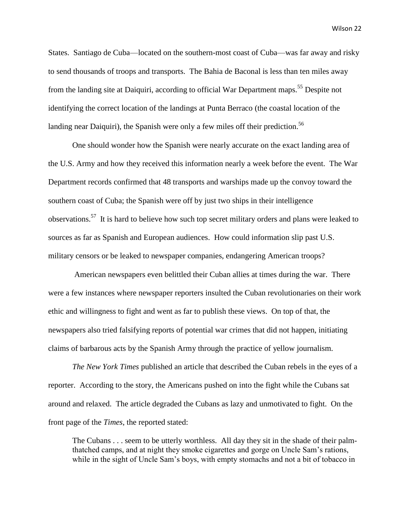States. Santiago de Cuba—located on the southern-most coast of Cuba—was far away and risky to send thousands of troops and transports. The Bahia de Baconal is less than ten miles away from the landing site at Daiquiri, according to official War Department maps.<sup>55</sup> Despite not identifying the correct location of the landings at Punta Berraco (the coastal location of the landing near Daiquiri), the Spanish were only a few miles off their prediction.<sup>56</sup>

One should wonder how the Spanish were nearly accurate on the exact landing area of the U.S. Army and how they received this information nearly a week before the event. The War Department records confirmed that 48 transports and warships made up the convoy toward the southern coast of Cuba; the Spanish were off by just two ships in their intelligence observations.<sup>57</sup> It is hard to believe how such top secret military orders and plans were leaked to sources as far as Spanish and European audiences. How could information slip past U.S. military censors or be leaked to newspaper companies, endangering American troops?

American newspapers even belittled their Cuban allies at times during the war. There were a few instances where newspaper reporters insulted the Cuban revolutionaries on their work ethic and willingness to fight and went as far to publish these views. On top of that, the newspapers also tried falsifying reports of potential war crimes that did not happen, initiating claims of barbarous acts by the Spanish Army through the practice of yellow journalism.

*The New York Times* published an article that described the Cuban rebels in the eyes of a reporter. According to the story, the Americans pushed on into the fight while the Cubans sat around and relaxed. The article degraded the Cubans as lazy and unmotivated to fight. On the front page of the *Times*, the reported stated:

The Cubans . . . seem to be utterly worthless. All day they sit in the shade of their palmthatched camps, and at night they smoke cigarettes and gorge on Uncle Sam's rations, while in the sight of Uncle Sam's boys, with empty stomachs and not a bit of tobacco in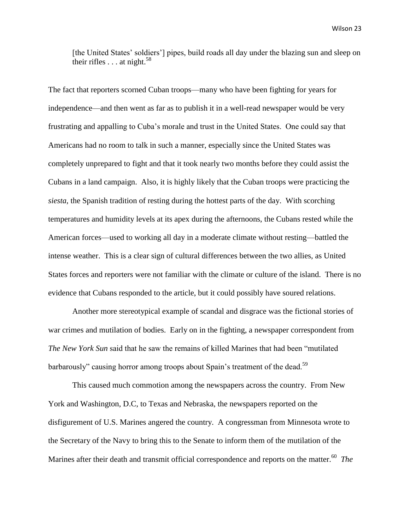[the United States' soldiers'] pipes, build roads all day under the blazing sun and sleep on their rifles  $\ldots$  at night.<sup>58</sup>

The fact that reporters scorned Cuban troops—many who have been fighting for years for independence—and then went as far as to publish it in a well-read newspaper would be very frustrating and appalling to Cuba's morale and trust in the United States. One could say that Americans had no room to talk in such a manner, especially since the United States was completely unprepared to fight and that it took nearly two months before they could assist the Cubans in a land campaign. Also, it is highly likely that the Cuban troops were practicing the *siesta*, the Spanish tradition of resting during the hottest parts of the day. With scorching temperatures and humidity levels at its apex during the afternoons, the Cubans rested while the American forces—used to working all day in a moderate climate without resting—battled the intense weather. This is a clear sign of cultural differences between the two allies, as United States forces and reporters were not familiar with the climate or culture of the island. There is no evidence that Cubans responded to the article, but it could possibly have soured relations.

Another more stereotypical example of scandal and disgrace was the fictional stories of war crimes and mutilation of bodies. Early on in the fighting, a newspaper correspondent from *The New York Sun* said that he saw the remains of killed Marines that had been "mutilated barbarously" causing horror among troops about Spain's treatment of the dead.<sup>59</sup>

This caused much commotion among the newspapers across the country. From New York and Washington, D.C, to Texas and Nebraska, the newspapers reported on the disfigurement of U.S. Marines angered the country. A congressman from Minnesota wrote to the Secretary of the Navy to bring this to the Senate to inform them of the mutilation of the Marines after their death and transmit official correspondence and reports on the matter.<sup>60</sup> The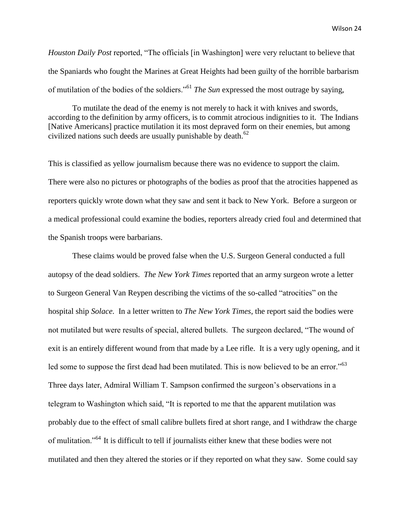*Houston Daily Post* reported, "The officials [in Washington] were very reluctant to believe that the Spaniards who fought the Marines at Great Heights had been guilty of the horrible barbarism of mutilation of the bodies of the soldiers."<sup>61</sup> *The Sun* expressed the most outrage by saying,

To mutilate the dead of the enemy is not merely to hack it with knives and swords, according to the definition by army officers, is to commit atrocious indignities to it. The Indians [Native Americans] practice mutilation it its most depraved form on their enemies, but among civilized nations such deeds are usually punishable by death. $62$ 

This is classified as yellow journalism because there was no evidence to support the claim. There were also no pictures or photographs of the bodies as proof that the atrocities happened as reporters quickly wrote down what they saw and sent it back to New York. Before a surgeon or a medical professional could examine the bodies, reporters already cried foul and determined that the Spanish troops were barbarians.

These claims would be proved false when the U.S. Surgeon General conducted a full autopsy of the dead soldiers. *The New York Times* reported that an army surgeon wrote a letter to Surgeon General Van Reypen describing the victims of the so-called "atrocities" on the hospital ship *Solace*. In a letter written to *The New York Times*, the report said the bodies were not mutilated but were results of special, altered bullets. The surgeon declared, "The wound of exit is an entirely different wound from that made by a Lee rifle. It is a very ugly opening, and it led some to suppose the first dead had been mutilated. This is now believed to be an error."<sup>63</sup> Three days later, Admiral William T. Sampson confirmed the surgeon's observations in a telegram to Washington which said, "It is reported to me that the apparent mutilation was probably due to the effect of small calibre bullets fired at short range, and I withdraw the charge of mulitation."<sup>64</sup> It is difficult to tell if journalists either knew that these bodies were not mutilated and then they altered the stories or if they reported on what they saw. Some could say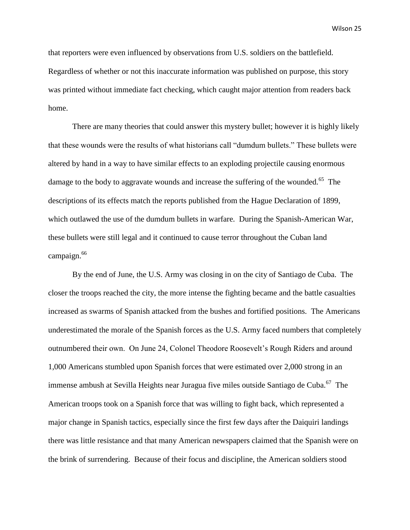that reporters were even influenced by observations from U.S. soldiers on the battlefield. Regardless of whether or not this inaccurate information was published on purpose, this story was printed without immediate fact checking, which caught major attention from readers back home.

There are many theories that could answer this mystery bullet; however it is highly likely that these wounds were the results of what historians call "dumdum bullets." These bullets were altered by hand in a way to have similar effects to an exploding projectile causing enormous damage to the body to aggravate wounds and increase the suffering of the wounded.<sup>65</sup> The descriptions of its effects match the reports published from the Hague Declaration of 1899, which outlawed the use of the dumdum bullets in warfare. During the Spanish-American War, these bullets were still legal and it continued to cause terror throughout the Cuban land campaign.<sup>66</sup>

By the end of June, the U.S. Army was closing in on the city of Santiago de Cuba. The closer the troops reached the city, the more intense the fighting became and the battle casualties increased as swarms of Spanish attacked from the bushes and fortified positions. The Americans underestimated the morale of the Spanish forces as the U.S. Army faced numbers that completely outnumbered their own. On June 24, Colonel Theodore Roosevelt's Rough Riders and around 1,000 Americans stumbled upon Spanish forces that were estimated over 2,000 strong in an immense ambush at Sevilla Heights near Juragua five miles outside Santiago de Cuba.<sup>67</sup> The American troops took on a Spanish force that was willing to fight back, which represented a major change in Spanish tactics, especially since the first few days after the Daiquiri landings there was little resistance and that many American newspapers claimed that the Spanish were on the brink of surrendering. Because of their focus and discipline, the American soldiers stood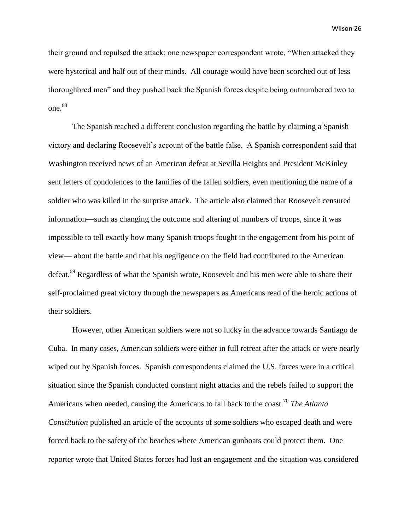their ground and repulsed the attack; one newspaper correspondent wrote, "When attacked they were hysterical and half out of their minds. All courage would have been scorched out of less thoroughbred men" and they pushed back the Spanish forces despite being outnumbered two to one.<sup>68</sup>

The Spanish reached a different conclusion regarding the battle by claiming a Spanish victory and declaring Roosevelt's account of the battle false. A Spanish correspondent said that Washington received news of an American defeat at Sevilla Heights and President McKinley sent letters of condolences to the families of the fallen soldiers, even mentioning the name of a soldier who was killed in the surprise attack. The article also claimed that Roosevelt censured information—such as changing the outcome and altering of numbers of troops, since it was impossible to tell exactly how many Spanish troops fought in the engagement from his point of view— about the battle and that his negligence on the field had contributed to the American defeat.<sup>69</sup> Regardless of what the Spanish wrote, Roosevelt and his men were able to share their self-proclaimed great victory through the newspapers as Americans read of the heroic actions of their soldiers.

However, other American soldiers were not so lucky in the advance towards Santiago de Cuba. In many cases, American soldiers were either in full retreat after the attack or were nearly wiped out by Spanish forces. Spanish correspondents claimed the U.S. forces were in a critical situation since the Spanish conducted constant night attacks and the rebels failed to support the Americans when needed, causing the Americans to fall back to the coast.<sup>70</sup> *The Atlanta Constitution* published an article of the accounts of some soldiers who escaped death and were forced back to the safety of the beaches where American gunboats could protect them. One reporter wrote that United States forces had lost an engagement and the situation was considered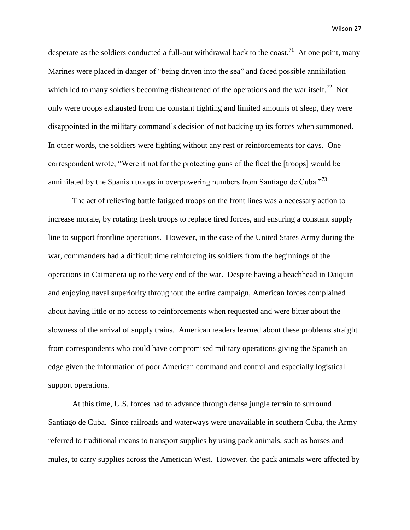desperate as the soldiers conducted a full-out withdrawal back to the coast.<sup>71</sup> At one point, many Marines were placed in danger of "being driven into the sea" and faced possible annihilation which led to many soldiers becoming disheartened of the operations and the war itself.<sup>72</sup> Not only were troops exhausted from the constant fighting and limited amounts of sleep, they were disappointed in the military command's decision of not backing up its forces when summoned. In other words, the soldiers were fighting without any rest or reinforcements for days. One correspondent wrote, "Were it not for the protecting guns of the fleet the [troops] would be annihilated by the Spanish troops in overpowering numbers from Santiago de Cuba.<sup>773</sup>

The act of relieving battle fatigued troops on the front lines was a necessary action to increase morale, by rotating fresh troops to replace tired forces, and ensuring a constant supply line to support frontline operations. However, in the case of the United States Army during the war, commanders had a difficult time reinforcing its soldiers from the beginnings of the operations in Caimanera up to the very end of the war. Despite having a beachhead in Daiquiri and enjoying naval superiority throughout the entire campaign, American forces complained about having little or no access to reinforcements when requested and were bitter about the slowness of the arrival of supply trains. American readers learned about these problems straight from correspondents who could have compromised military operations giving the Spanish an edge given the information of poor American command and control and especially logistical support operations.

At this time, U.S. forces had to advance through dense jungle terrain to surround Santiago de Cuba. Since railroads and waterways were unavailable in southern Cuba, the Army referred to traditional means to transport supplies by using pack animals, such as horses and mules, to carry supplies across the American West. However, the pack animals were affected by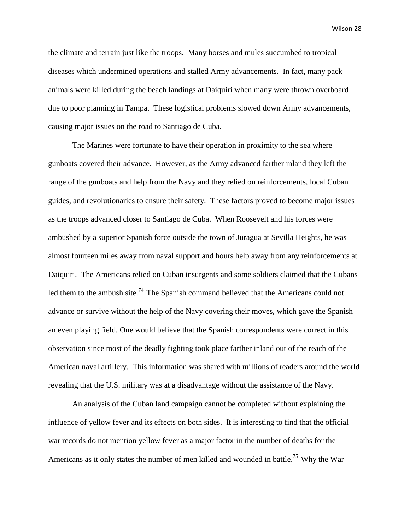the climate and terrain just like the troops. Many horses and mules succumbed to tropical diseases which undermined operations and stalled Army advancements. In fact, many pack animals were killed during the beach landings at Daiquiri when many were thrown overboard due to poor planning in Tampa. These logistical problems slowed down Army advancements, causing major issues on the road to Santiago de Cuba.

The Marines were fortunate to have their operation in proximity to the sea where gunboats covered their advance. However, as the Army advanced farther inland they left the range of the gunboats and help from the Navy and they relied on reinforcements, local Cuban guides, and revolutionaries to ensure their safety. These factors proved to become major issues as the troops advanced closer to Santiago de Cuba. When Roosevelt and his forces were ambushed by a superior Spanish force outside the town of Juragua at Sevilla Heights, he was almost fourteen miles away from naval support and hours help away from any reinforcements at Daiquiri. The Americans relied on Cuban insurgents and some soldiers claimed that the Cubans led them to the ambush site.<sup>74</sup> The Spanish command believed that the Americans could not advance or survive without the help of the Navy covering their moves, which gave the Spanish an even playing field. One would believe that the Spanish correspondents were correct in this observation since most of the deadly fighting took place farther inland out of the reach of the American naval artillery. This information was shared with millions of readers around the world revealing that the U.S. military was at a disadvantage without the assistance of the Navy.

An analysis of the Cuban land campaign cannot be completed without explaining the influence of yellow fever and its effects on both sides. It is interesting to find that the official war records do not mention yellow fever as a major factor in the number of deaths for the Americans as it only states the number of men killed and wounded in battle.<sup>75</sup> Why the War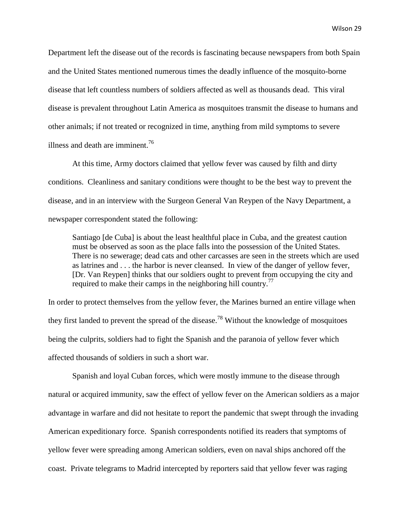Department left the disease out of the records is fascinating because newspapers from both Spain and the United States mentioned numerous times the deadly influence of the mosquito-borne disease that left countless numbers of soldiers affected as well as thousands dead. This viral disease is prevalent throughout Latin America as mosquitoes transmit the disease to humans and other animals; if not treated or recognized in time, anything from mild symptoms to severe illness and death are imminent. $^{76}$ 

At this time, Army doctors claimed that yellow fever was caused by filth and dirty conditions. Cleanliness and sanitary conditions were thought to be the best way to prevent the disease, and in an interview with the Surgeon General Van Reypen of the Navy Department, a newspaper correspondent stated the following:

Santiago [de Cuba] is about the least healthful place in Cuba, and the greatest caution must be observed as soon as the place falls into the possession of the United States. There is no sewerage; dead cats and other carcasses are seen in the streets which are used as latrines and . . . the harbor is never cleansed. In view of the danger of yellow fever, [Dr. Van Reypen] thinks that our soldiers ought to prevent from occupying the city and required to make their camps in the neighboring hill country.<sup>77</sup>

In order to protect themselves from the yellow fever, the Marines burned an entire village when they first landed to prevent the spread of the disease.<sup>78</sup> Without the knowledge of mosquitoes being the culprits, soldiers had to fight the Spanish and the paranoia of yellow fever which affected thousands of soldiers in such a short war.

Spanish and loyal Cuban forces, which were mostly immune to the disease through natural or acquired immunity, saw the effect of yellow fever on the American soldiers as a major advantage in warfare and did not hesitate to report the pandemic that swept through the invading American expeditionary force. Spanish correspondents notified its readers that symptoms of yellow fever were spreading among American soldiers, even on naval ships anchored off the coast. Private telegrams to Madrid intercepted by reporters said that yellow fever was raging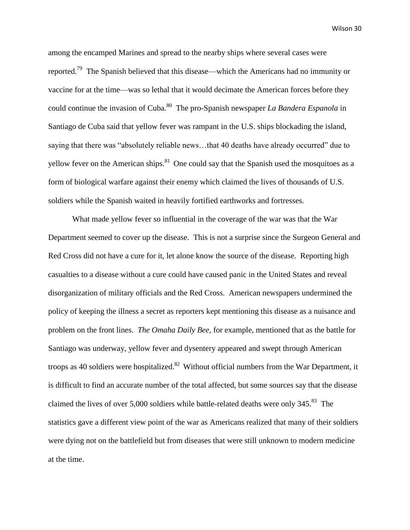among the encamped Marines and spread to the nearby ships where several cases were reported.<sup>79</sup> The Spanish believed that this disease—which the Americans had no immunity or vaccine for at the time—was so lethal that it would decimate the American forces before they could continue the invasion of Cuba.<sup>80</sup> The pro-Spanish newspaper *La Bandera Espanola* in Santiago de Cuba said that yellow fever was rampant in the U.S. ships blockading the island, saying that there was "absolutely reliable news…that 40 deaths have already occurred" due to yellow fever on the American ships.<sup>81</sup> One could say that the Spanish used the mosquitoes as a form of biological warfare against their enemy which claimed the lives of thousands of U.S. soldiers while the Spanish waited in heavily fortified earthworks and fortresses.

What made yellow fever so influential in the coverage of the war was that the War Department seemed to cover up the disease. This is not a surprise since the Surgeon General and Red Cross did not have a cure for it, let alone know the source of the disease. Reporting high casualties to a disease without a cure could have caused panic in the United States and reveal disorganization of military officials and the Red Cross. American newspapers undermined the policy of keeping the illness a secret as reporters kept mentioning this disease as a nuisance and problem on the front lines. *The Omaha Daily Bee*, for example, mentioned that as the battle for Santiago was underway, yellow fever and dysentery appeared and swept through American troops as 40 soldiers were hospitalized.<sup>82</sup> Without official numbers from the War Department, it is difficult to find an accurate number of the total affected, but some sources say that the disease claimed the lives of over 5,000 soldiers while battle-related deaths were only  $345.^{83}$  The statistics gave a different view point of the war as Americans realized that many of their soldiers were dying not on the battlefield but from diseases that were still unknown to modern medicine at the time.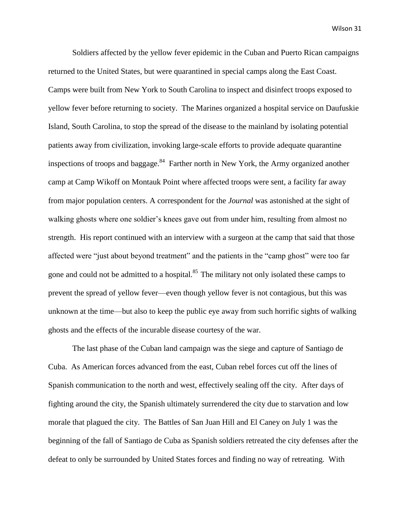Soldiers affected by the yellow fever epidemic in the Cuban and Puerto Rican campaigns returned to the United States, but were quarantined in special camps along the East Coast. Camps were built from New York to South Carolina to inspect and disinfect troops exposed to yellow fever before returning to society. The Marines organized a hospital service on Daufuskie Island, South Carolina, to stop the spread of the disease to the mainland by isolating potential patients away from civilization, invoking large-scale efforts to provide adequate quarantine inspections of troops and baggage.<sup>84</sup> Farther north in New York, the Army organized another camp at Camp Wikoff on Montauk Point where affected troops were sent, a facility far away from major population centers. A correspondent for the *Journal* was astonished at the sight of walking ghosts where one soldier's knees gave out from under him, resulting from almost no strength. His report continued with an interview with a surgeon at the camp that said that those affected were "just about beyond treatment" and the patients in the "camp ghost" were too far gone and could not be admitted to a hospital.<sup>85</sup> The military not only isolated these camps to prevent the spread of yellow fever—even though yellow fever is not contagious, but this was unknown at the time—but also to keep the public eye away from such horrific sights of walking ghosts and the effects of the incurable disease courtesy of the war.

The last phase of the Cuban land campaign was the siege and capture of Santiago de Cuba. As American forces advanced from the east, Cuban rebel forces cut off the lines of Spanish communication to the north and west, effectively sealing off the city. After days of fighting around the city, the Spanish ultimately surrendered the city due to starvation and low morale that plagued the city. The Battles of San Juan Hill and El Caney on July 1 was the beginning of the fall of Santiago de Cuba as Spanish soldiers retreated the city defenses after the defeat to only be surrounded by United States forces and finding no way of retreating. With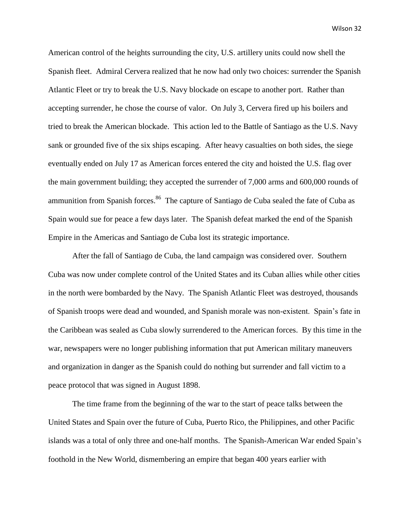American control of the heights surrounding the city, U.S. artillery units could now shell the Spanish fleet. Admiral Cervera realized that he now had only two choices: surrender the Spanish Atlantic Fleet or try to break the U.S. Navy blockade on escape to another port. Rather than accepting surrender, he chose the course of valor. On July 3, Cervera fired up his boilers and tried to break the American blockade. This action led to the Battle of Santiago as the U.S. Navy sank or grounded five of the six ships escaping. After heavy casualties on both sides, the siege eventually ended on July 17 as American forces entered the city and hoisted the U.S. flag over the main government building; they accepted the surrender of 7,000 arms and 600,000 rounds of ammunition from Spanish forces.<sup>86</sup> The capture of Santiago de Cuba sealed the fate of Cuba as Spain would sue for peace a few days later. The Spanish defeat marked the end of the Spanish Empire in the Americas and Santiago de Cuba lost its strategic importance.

After the fall of Santiago de Cuba, the land campaign was considered over. Southern Cuba was now under complete control of the United States and its Cuban allies while other cities in the north were bombarded by the Navy. The Spanish Atlantic Fleet was destroyed, thousands of Spanish troops were dead and wounded, and Spanish morale was non-existent. Spain's fate in the Caribbean was sealed as Cuba slowly surrendered to the American forces. By this time in the war, newspapers were no longer publishing information that put American military maneuvers and organization in danger as the Spanish could do nothing but surrender and fall victim to a peace protocol that was signed in August 1898.

The time frame from the beginning of the war to the start of peace talks between the United States and Spain over the future of Cuba, Puerto Rico, the Philippines, and other Pacific islands was a total of only three and one-half months. The Spanish-American War ended Spain's foothold in the New World, dismembering an empire that began 400 years earlier with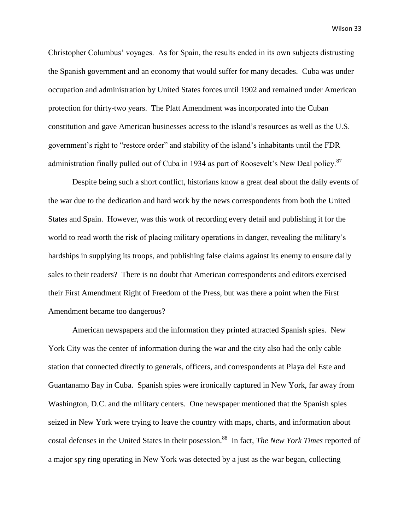Christopher Columbus' voyages. As for Spain, the results ended in its own subjects distrusting the Spanish government and an economy that would suffer for many decades. Cuba was under occupation and administration by United States forces until 1902 and remained under American protection for thirty-two years. The Platt Amendment was incorporated into the Cuban constitution and gave American businesses access to the island's resources as well as the U.S. government's right to "restore order" and stability of the island's inhabitants until the FDR administration finally pulled out of Cuba in 1934 as part of Roosevelt's New Deal policy.<sup>87</sup>

Despite being such a short conflict, historians know a great deal about the daily events of the war due to the dedication and hard work by the news correspondents from both the United States and Spain. However, was this work of recording every detail and publishing it for the world to read worth the risk of placing military operations in danger, revealing the military's hardships in supplying its troops, and publishing false claims against its enemy to ensure daily sales to their readers? There is no doubt that American correspondents and editors exercised their First Amendment Right of Freedom of the Press, but was there a point when the First Amendment became too dangerous?

American newspapers and the information they printed attracted Spanish spies. New York City was the center of information during the war and the city also had the only cable station that connected directly to generals, officers, and correspondents at Playa del Este and Guantanamo Bay in Cuba. Spanish spies were ironically captured in New York, far away from Washington, D.C. and the military centers. One newspaper mentioned that the Spanish spies seized in New York were trying to leave the country with maps, charts, and information about costal defenses in the United States in their posession.<sup>88</sup> In fact, *The New York Times* reported of a major spy ring operating in New York was detected by a just as the war began, collecting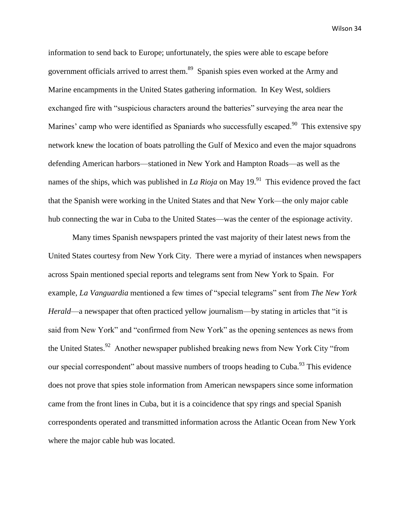information to send back to Europe; unfortunately, the spies were able to escape before government officials arrived to arrest them.<sup>89</sup> Spanish spies even worked at the Army and Marine encampments in the United States gathering information. In Key West, soldiers exchanged fire with "suspicious characters around the batteries" surveying the area near the Marines' camp who were identified as Spaniards who successfully escaped.<sup>90</sup> This extensive spy network knew the location of boats patrolling the Gulf of Mexico and even the major squadrons defending American harbors—stationed in New York and Hampton Roads—as well as the names of the ships, which was published in *La Rioja* on May  $19.^{91}$  This evidence proved the fact that the Spanish were working in the United States and that New York—the only major cable hub connecting the war in Cuba to the United States—was the center of the espionage activity.

Many times Spanish newspapers printed the vast majority of their latest news from the United States courtesy from New York City. There were a myriad of instances when newspapers across Spain mentioned special reports and telegrams sent from New York to Spain. For example, *La Vanguardia* mentioned a few times of "special telegrams" sent from *The New York Herald*—a newspaper that often practiced yellow journalism—by stating in articles that "it is said from New York" and "confirmed from New York" as the opening sentences as news from the United States.<sup>92</sup> Another newspaper published breaking news from New York City "from our special correspondent" about massive numbers of troops heading to Cuba.<sup>93</sup> This evidence does not prove that spies stole information from American newspapers since some information came from the front lines in Cuba, but it is a coincidence that spy rings and special Spanish correspondents operated and transmitted information across the Atlantic Ocean from New York where the major cable hub was located.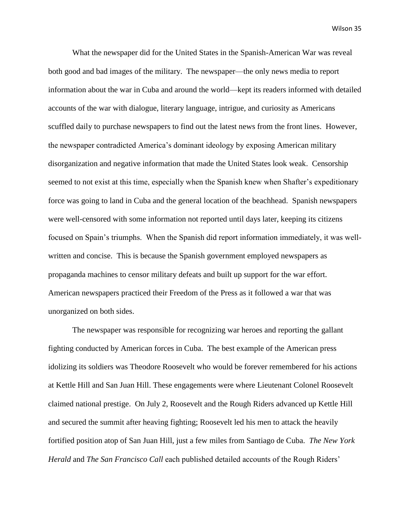What the newspaper did for the United States in the Spanish-American War was reveal both good and bad images of the military. The newspaper—the only news media to report information about the war in Cuba and around the world—kept its readers informed with detailed accounts of the war with dialogue, literary language, intrigue, and curiosity as Americans scuffled daily to purchase newspapers to find out the latest news from the front lines. However, the newspaper contradicted America's dominant ideology by exposing American military disorganization and negative information that made the United States look weak. Censorship seemed to not exist at this time, especially when the Spanish knew when Shafter's expeditionary force was going to land in Cuba and the general location of the beachhead. Spanish newspapers were well-censored with some information not reported until days later, keeping its citizens focused on Spain's triumphs. When the Spanish did report information immediately, it was wellwritten and concise. This is because the Spanish government employed newspapers as propaganda machines to censor military defeats and built up support for the war effort. American newspapers practiced their Freedom of the Press as it followed a war that was unorganized on both sides.

The newspaper was responsible for recognizing war heroes and reporting the gallant fighting conducted by American forces in Cuba. The best example of the American press idolizing its soldiers was Theodore Roosevelt who would be forever remembered for his actions at Kettle Hill and San Juan Hill. These engagements were where Lieutenant Colonel Roosevelt claimed national prestige. On July 2, Roosevelt and the Rough Riders advanced up Kettle Hill and secured the summit after heaving fighting; Roosevelt led his men to attack the heavily fortified position atop of San Juan Hill, just a few miles from Santiago de Cuba. *The New York Herald* and *The San Francisco Call* each published detailed accounts of the Rough Riders'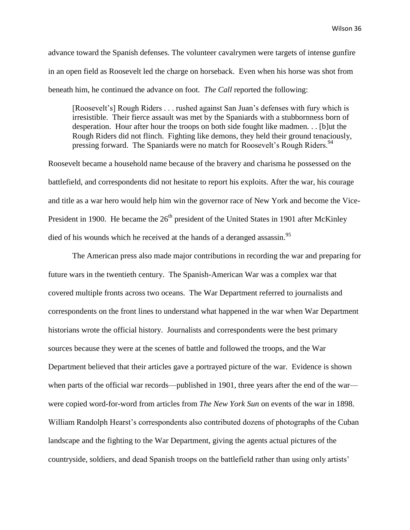advance toward the Spanish defenses. The volunteer cavalrymen were targets of intense gunfire in an open field as Roosevelt led the charge on horseback. Even when his horse was shot from beneath him, he continued the advance on foot. *The Call* reported the following:

[Roosevelt's] Rough Riders . . . rushed against San Juan's defenses with fury which is irresistible. Their fierce assault was met by the Spaniards with a stubbornness born of desperation. Hour after hour the troops on both side fought like madmen. . . [b]ut the Rough Riders did not flinch. Fighting like demons, they held their ground tenaciously, pressing forward. The Spaniards were no match for Roosevelt's Rough Riders.<sup>94</sup>

Roosevelt became a household name because of the bravery and charisma he possessed on the battlefield, and correspondents did not hesitate to report his exploits. After the war, his courage and title as a war hero would help him win the governor race of New York and become the Vice-President in 1900. He became the  $26<sup>th</sup>$  president of the United States in 1901 after McKinley died of his wounds which he received at the hands of a deranged assassin.<sup>95</sup>

The American press also made major contributions in recording the war and preparing for future wars in the twentieth century. The Spanish-American War was a complex war that covered multiple fronts across two oceans. The War Department referred to journalists and correspondents on the front lines to understand what happened in the war when War Department historians wrote the official history. Journalists and correspondents were the best primary sources because they were at the scenes of battle and followed the troops, and the War Department believed that their articles gave a portrayed picture of the war. Evidence is shown when parts of the official war records—published in 1901, three years after the end of the war were copied word-for-word from articles from *The New York Sun* on events of the war in 1898. William Randolph Hearst's correspondents also contributed dozens of photographs of the Cuban landscape and the fighting to the War Department, giving the agents actual pictures of the countryside, soldiers, and dead Spanish troops on the battlefield rather than using only artists'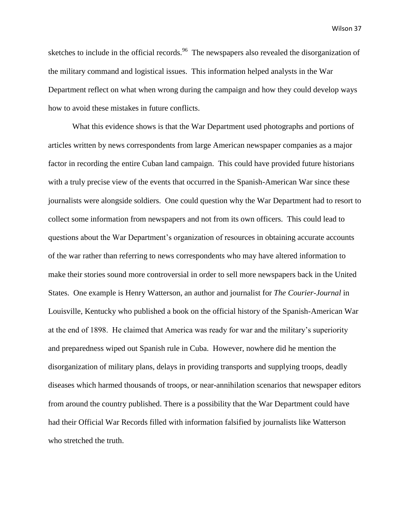sketches to include in the official records.<sup>96</sup> The newspapers also revealed the disorganization of the military command and logistical issues. This information helped analysts in the War Department reflect on what when wrong during the campaign and how they could develop ways how to avoid these mistakes in future conflicts.

What this evidence shows is that the War Department used photographs and portions of articles written by news correspondents from large American newspaper companies as a major factor in recording the entire Cuban land campaign. This could have provided future historians with a truly precise view of the events that occurred in the Spanish-American War since these journalists were alongside soldiers. One could question why the War Department had to resort to collect some information from newspapers and not from its own officers. This could lead to questions about the War Department's organization of resources in obtaining accurate accounts of the war rather than referring to news correspondents who may have altered information to make their stories sound more controversial in order to sell more newspapers back in the United States. One example is Henry Watterson, an author and journalist for *The Courier-Journal* in Louisville, Kentucky who published a book on the official history of the Spanish-American War at the end of 1898. He claimed that America was ready for war and the military's superiority and preparedness wiped out Spanish rule in Cuba. However, nowhere did he mention the disorganization of military plans, delays in providing transports and supplying troops, deadly diseases which harmed thousands of troops, or near-annihilation scenarios that newspaper editors from around the country published. There is a possibility that the War Department could have had their Official War Records filled with information falsified by journalists like Watterson who stretched the truth.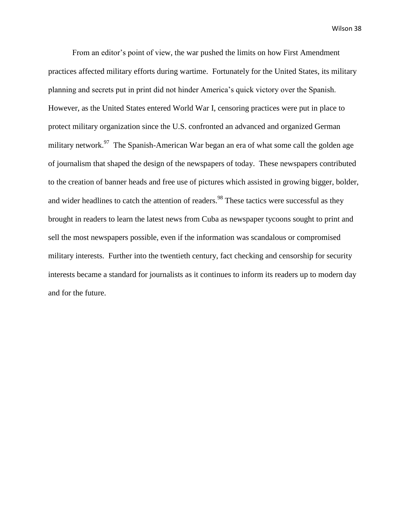From an editor's point of view, the war pushed the limits on how First Amendment practices affected military efforts during wartime. Fortunately for the United States, its military planning and secrets put in print did not hinder America's quick victory over the Spanish. However, as the United States entered World War I, censoring practices were put in place to protect military organization since the U.S. confronted an advanced and organized German military network.<sup>97</sup> The Spanish-American War began an era of what some call the golden age of journalism that shaped the design of the newspapers of today. These newspapers contributed to the creation of banner heads and free use of pictures which assisted in growing bigger, bolder, and wider headlines to catch the attention of readers.<sup>98</sup> These tactics were successful as they brought in readers to learn the latest news from Cuba as newspaper tycoons sought to print and sell the most newspapers possible, even if the information was scandalous or compromised military interests. Further into the twentieth century, fact checking and censorship for security interests became a standard for journalists as it continues to inform its readers up to modern day and for the future.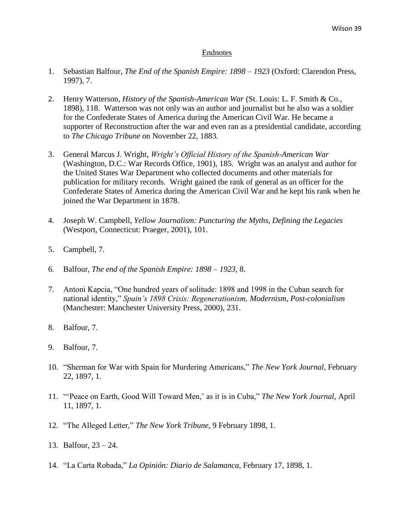### Endnotes

- 1. Sebastian Balfour, *The End of the Spanish Empire: 1898 – 1923* (Oxford: Clarendon Press, 1997), 7.
- 2. Henry Watterson, *History of the Spanish-American War* (St. Louis: L. F. Smith & Co., 1898), 118. Watterson was not only was an author and journalist but he also was a soldier for the Confederate States of America during the American Civil War. He became a supporter of Reconstruction after the war and even ran as a presidential candidate, according to *The Chicago Tribune* on November 22, 1883.
- 3. General Marcus J. Wright, *Wright's Official History of the Spanish-American War* (Washington, D.C.: War Records Office, 1901), 185. Wright was an analyst and author for the United States War Department who collected documents and other materials for publication for military records. Wright gained the rank of general as an officer for the Confederate States of America during the American Civil War and he kept his rank when he joined the War Department in 1878.
- 4. Joseph W. Campbell, *Yellow Journalism: Puncturing the Myths, Defining the Legacies* (Westport, Connecticut: Praeger, 2001), 101.
- 5. Campbell, 7.
- 6. Balfour, *The end of the Spanish Empire: 1898 – 1923*, 8.
- 7. Antoni Kapcia, "One hundred years of solitude: 1898 and 1998 in the Cuban search for national identity," *Spain's 1898 Crisis: Regenerationism, Modernism, Post-colonialism* (Manchester: Manchester University Press, 2000), 231.
- 8. Balfour, 7.
- 9. Balfour, 7.
- 10. "Sherman for War with Spain for Murdering Americans," *The New York Journal*, February 22, 1897, 1.
- 11. "'Peace on Earth, Good Will Toward Men,' as it is in Cuba," *The New York Journal*, April 11, 1897, 1.
- 12. "The Alleged Letter," *The New York Tribune*, 9 February 1898, 1.
- 13. Balfour, 23 24.
- 14. "La Carta Robada," *La Opinión: Diario de Salamanca*, February 17, 1898, 1.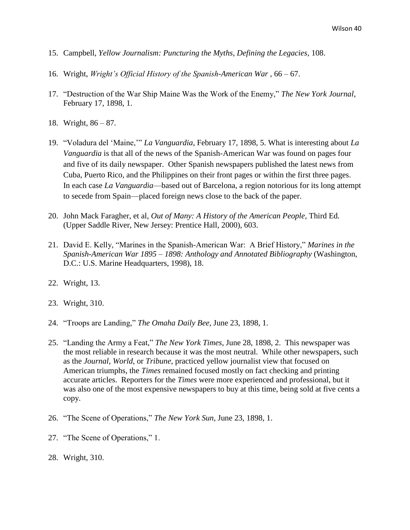- 15. Campbell, *Yellow Journalism: Puncturing the Myths, Defining the Legacies*, 108.
- 16. Wright, *Wright's Official History of the Spanish-American War* , 66 67.
- 17. "Destruction of the War Ship Maine Was the Work of the Enemy," *The New York Journal*, February 17, 1898, 1.
- 18. Wright, 86 87.
- 19. "Voladura del 'Maine,'" *La Vanguardia*, February 17, 1898, 5. What is interesting about *La Vanguardia* is that all of the news of the Spanish-American War was found on pages four and five of its daily newspaper. Other Spanish newspapers published the latest news from Cuba, Puerto Rico, and the Philippines on their front pages or within the first three pages. In each case *La Vanguardia*—based out of Barcelona, a region notorious for its long attempt to secede from Spain—placed foreign news close to the back of the paper.
- 20. John Mack Faragher, et al, *Out of Many: A History of the American People,* Third Ed*.* (Upper Saddle River, New Jersey: Prentice Hall, 2000), 603.
- 21. David E. Kelly, "Marines in the Spanish-American War: A Brief History," *Marines in the Spanish-American War 1895 – 1898: Anthology and Annotated Bibliography* (Washington, D.C.: U.S. Marine Headquarters, 1998), 18.
- 22. Wright, 13.
- 23. Wright, 310.
- 24. "Troops are Landing," *The Omaha Daily Bee*, June 23, 1898, 1.
- 25. "Landing the Army a Feat," *The New York Times*, June 28, 1898, 2. This newspaper was the most reliable in research because it was the most neutral. While other newspapers, such as the *Journal*, *World*, or *Tribune*, practiced yellow journalist view that focused on American triumphs, the *Times* remained focused mostly on fact checking and printing accurate articles. Reporters for the *Times* were more experienced and professional, but it was also one of the most expensive newspapers to buy at this time, being sold at five cents a copy.
- 26. "The Scene of Operations," *The New York Sun*, June 23, 1898, 1.
- 27. "The Scene of Operations," 1.
- 28. Wright, 310.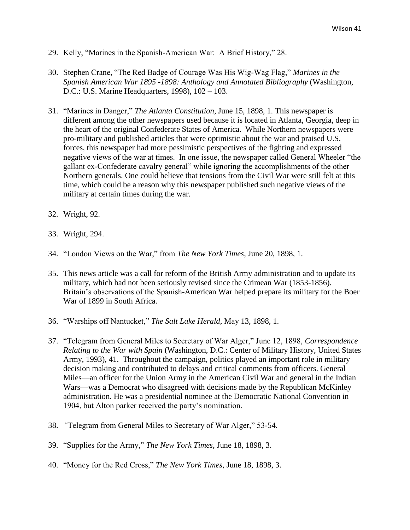- 29. Kelly, "Marines in the Spanish-American War: A Brief History," 28.
- 30. Stephen Crane, "The Red Badge of Courage Was His Wig-Wag Flag," *Marines in the Spanish American War 1895 -1898: Anthology and Annotated Bibliography* (Washington, D.C.: U.S. Marine Headquarters, 1998), 102 – 103.
- 31. "Marines in Danger," *The Atlanta Constitution*, June 15, 1898, 1. This newspaper is different among the other newspapers used because it is located in Atlanta, Georgia, deep in the heart of the original Confederate States of America. While Northern newspapers were pro-military and published articles that were optimistic about the war and praised U.S. forces, this newspaper had more pessimistic perspectives of the fighting and expressed negative views of the war at times. In one issue, the newspaper called General Wheeler "the gallant ex-Confederate cavalry general" while ignoring the accomplishments of the other Northern generals. One could believe that tensions from the Civil War were still felt at this time, which could be a reason why this newspaper published such negative views of the military at certain times during the war.
- 32. Wright, 92.
- 33. Wright, 294.
- 34. "London Views on the War," from *The New York Times*, June 20, 1898, 1.
- 35. This news article was a call for reform of the British Army administration and to update its military, which had not been seriously revised since the Crimean War (1853-1856). Britain's observations of the Spanish-American War helped prepare its military for the Boer War of 1899 in South Africa.
- 36. "Warships off Nantucket," *The Salt Lake Herald*, May 13, 1898, 1.
- 37. "Telegram from General Miles to Secretary of War Alger," June 12, 1898, *Correspondence Relating to the War with Spain* (Washington, D.C.: Center of Military History, United States Army, 1993), 41. Throughout the campaign, politics played an important role in military decision making and contributed to delays and critical comments from officers. General Miles—an officer for the Union Army in the American Civil War and general in the Indian Wars—was a Democrat who disagreed with decisions made by the Republican McKinley administration. He was a presidential nominee at the Democratic National Convention in 1904, but Alton parker received the party's nomination.
- 38. *"*Telegram from General Miles to Secretary of War Alger," 53-54.
- 39. "Supplies for the Army," *The New York Times*, June 18, 1898, 3.
- 40. "Money for the Red Cross," *The New York Times*, June 18, 1898, 3.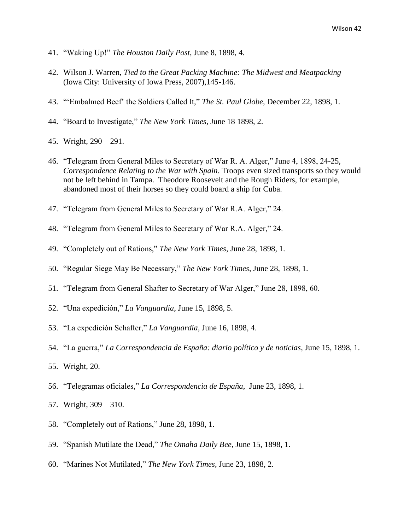- 41. "Waking Up!" *The Houston Daily Post*, June 8, 1898, 4.
- 42. Wilson J. Warren, *Tied to the Great Packing Machine: The Midwest and Meatpacking* (Iowa City: University of Iowa Press, 2007),145-146.
- 43. "'Embalmed Beef' the Soldiers Called It," *The St. Paul Globe*, December 22, 1898, 1.
- 44. "Board to Investigate," *The New York Times*, June 18 1898, 2.
- 45. Wright, 290 291.
- 46. "Telegram from General Miles to Secretary of War R. A. Alger," June 4, 1898, 24-25, *Correspondence Relating to the War with Spain*. Troops even sized transports so they would not be left behind in Tampa. Theodore Roosevelt and the Rough Riders, for example, abandoned most of their horses so they could board a ship for Cuba.
- 47. "Telegram from General Miles to Secretary of War R.A. Alger," 24.
- 48. "Telegram from General Miles to Secretary of War R.A. Alger," 24.
- 49. "Completely out of Rations," *The New York Times*, June 28, 1898, 1.
- 50. "Regular Siege May Be Necessary," *The New York Times*, June 28, 1898, 1.
- 51. "Telegram from General Shafter to Secretary of War Alger," June 28, 1898, 60.
- 52. "Una expedición," *La Vanguardia*, June 15, 1898, 5.
- 53. "La expedición Schafter," *La Vanguardia*, June 16, 1898, 4.
- 54. "La guerra," *La Correspondencia de España: diario político y de noticias*, June 15, 1898, 1.
- 55. Wright, 20.
- 56. "Telegramas oficiales," *La Correspondencia de España*, June 23, 1898, 1.
- 57. Wright, 309 310.
- 58. "Completely out of Rations," June 28, 1898, 1.
- 59. "Spanish Mutilate the Dead," *The Omaha Daily Bee*, June 15, 1898, 1.
- 60. "Marines Not Mutilated," *The New York Times*, June 23, 1898, 2.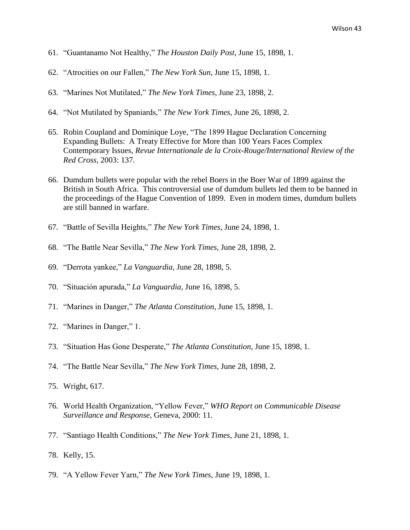- 61. "Guantanamo Not Healthy," *The Houston Daily Post*, June 15, 1898, 1.
- 62. "Atrocities on our Fallen," *The New York Sun*, June 15, 1898, 1.
- 63. "Marines Not Mutilated," *The New York Times*, June 23, 1898, 2.
- 64. "Not Mutilated by Spaniards," *The New York Times*, June 26, 1898, 2.
- 65. Robin Coupland and Dominique Loye, "The 1899 Hague Declaration Concerning Expanding Bullets: A Treaty Effective for More than 100 Years Faces Complex Contemporary Issues, *Revue Internationale de la Croix-Rouge/International Review of the Red Cross,* 2003: 137.
- 66. Dumdum bullets were popular with the rebel Boers in the Boer War of 1899 against the British in South Africa. This controversial use of dumdum bullets led them to be banned in the proceedings of the Hague Convention of 1899. Even in modern times, dumdum bullets are still banned in warfare.
- 67. "Battle of Sevilla Heights," *The New York Times*, June 24, 1898, 1.
- 68. "The Battle Near Sevilla," *The New York Times*, June 28, 1898, 2.
- 69. "Derrota yankee," *La Vanguardia*, June 28, 1898, 5.
- 70. "Situación apurada," *La Vanguardia*, June 16, 1898, 5.
- 71. "Marines in Danger," *The Atlanta Constitution*, June 15, 1898, 1.
- 72. "Marines in Danger," 1.
- 73. "Situation Has Gone Desperate," *The Atlanta Constitution*, June 15, 1898, 1.
- 74. "The Battle Near Sevilla," *The New York Times*, June 28, 1898, 2.
- 75. Wright, 617.
- 76. World Health Organization, "Yellow Fever," *WHO Report on Communicable Disease Surveillance and Response*, Geneva, 2000: 11.
- 77. "Santiago Health Conditions," *The New York Times*, June 21, 1898, 1.
- 78. Kelly, 15.
- 79. "A Yellow Fever Yarn," *The New York Times*, June 19, 1898, 1.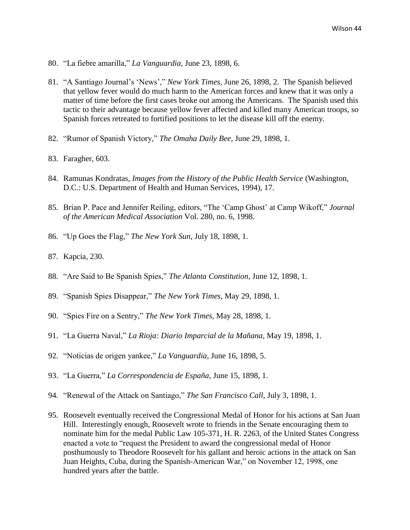- 80. "La fiebre amarilla," *La Vanguardia*, June 23, 1898, 6.
- 81. "A Santiago Journal's 'News'," *New York Times*, June 26, 1898, 2. The Spanish believed that yellow fever would do much harm to the American forces and knew that it was only a matter of time before the first cases broke out among the Americans. The Spanish used this tactic to their advantage because yellow fever affected and killed many American troops, so Spanish forces retreated to fortified positions to let the disease kill off the enemy.
- 82. "Rumor of Spanish Victory," *The Omaha Daily Bee*, June 29, 1898, 1.
- 83. Faragher, 603.
- 84. Ramunas Kondratas, *Images from the History of the Public Health Service* (Washington, D.C.: U.S. Department of Health and Human Services, 1994), 17.
- 85. Brian P. Pace and Jennifer Reiling, editors, "The 'Camp Ghost' at Camp Wikoff," *Journal of the American Medical Association* Vol. 280, no. 6, 1998.
- 86. "Up Goes the Flag," *The New York Sun*, July 18, 1898, 1.
- 87. Kapcia, 230.
- 88. "Are Said to Be Spanish Spies," *The Atlanta Constitution*, June 12, 1898, 1.
- 89. "Spanish Spies Disappear," *The New York Times*, May 29, 1898, 1.
- 90. "Spies Fire on a Sentry," *The New York Times*, May 28, 1898, 1.
- 91. "La Guerra Naval," *La Rioja: Diario Imparcial de la Mañana*, May 19, 1898, 1.
- 92. "Noticias de origen yankee," *La Vanguardia*, June 16, 1898, 5.
- 93. "La Guerra," *La Correspondencia de España*, June 15, 1898, 1.
- 94. "Renewal of the Attack on Santiago," *The San Francisco Call*, July 3, 1898, 1.
- 95. Roosevelt eventually received the Congressional Medal of Honor for his actions at San Juan Hill. Interestingly enough, Roosevelt wrote to friends in the Senate encouraging them to nominate him for the medal Public Law 105-371, H. R. 2263, of the United States Congress enacted a vote to "request the President to award the congressional medal of Honor posthumously to Theodore Roosevelt for his gallant and heroic actions in the attack on San Juan Heights, Cuba, during the Spanish-American War," on November 12, 1998, one hundred years after the battle.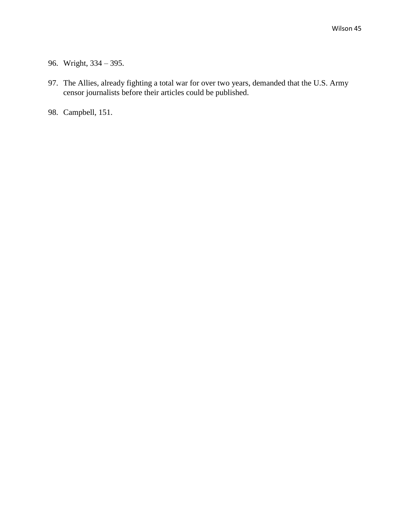- 96. Wright, 334 395.
- 97. The Allies, already fighting a total war for over two years, demanded that the U.S. Army censor journalists before their articles could be published.
- 98. Campbell, 151.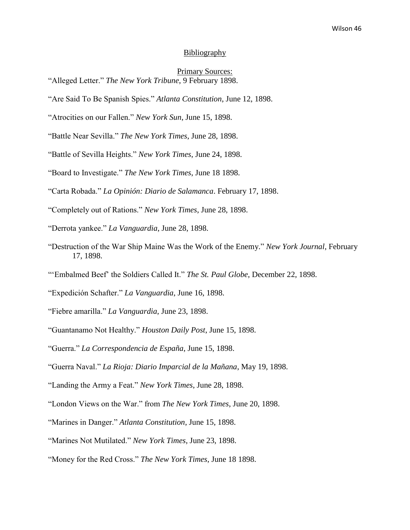### Bibliography

## Primary Sources:

"Battle Near Sevilla." *The New York Times*, June 28, 1898.

- "Battle of Sevilla Heights." *New York Times*, June 24, 1898.
- "Board to Investigate." *The New York Times*, June 18 1898.

"Carta Robada." *La Opinión: Diario de Salamanca*. February 17, 1898.

- "Completely out of Rations." *New York Times*, June 28, 1898.
- "Derrota yankee." *La Vanguardia*, June 28, 1898.
- "Destruction of the War Ship Maine Was the Work of the Enemy." *New York Journal*, February 17, 1898.
- "'Embalmed Beef' the Soldiers Called It." *The St. Paul Globe*, December 22, 1898.
- "Expedición Schafter." *La Vanguardia*, June 16, 1898.
- "Fiebre amarilla." *La Vanguardia*, June 23, 1898.
- "Guantanamo Not Healthy." *Houston Daily Post*, June 15, 1898.
- "Guerra." *La Correspondencia de España*, June 15, 1898.

- "Landing the Army a Feat." *New York Times*, June 28, 1898.
- "London Views on the War." from *The New York Times*, June 20, 1898.
- "Marines in Danger." *Atlanta Constitution*, June 15, 1898.
- "Marines Not Mutilated." *New York Times*, June 23, 1898.
- "Money for the Red Cross." *The New York Times*, June 18 1898.

<sup>&</sup>quot;Alleged Letter." *The New York Tribune*, 9 February 1898.

<sup>&</sup>quot;Are Said To Be Spanish Spies." *Atlanta Constitution*, June 12, 1898.

<sup>&</sup>quot;Atrocities on our Fallen." *New York Sun*, June 15, 1898.

<sup>&</sup>quot;Guerra Naval." *La Rioja: Diario Imparcial de la Mañana*, May 19, 1898.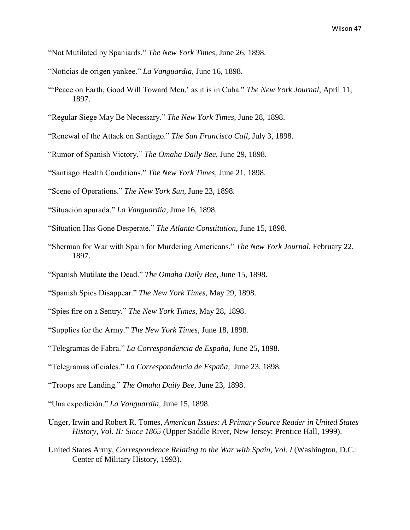- "Not Mutilated by Spaniards." *The New York Times*, June 26, 1898.
- "Noticias de origen yankee." *La Vanguardia*, June 16, 1898.
- "'Peace on Earth, Good Will Toward Men,' as it is in Cuba." *The New York Journal*, April 11, 1897.
- "Regular Siege May Be Necessary." *The New York Times*, June 28, 1898.
- "Renewal of the Attack on Santiago." *The San Francisco Call*, July 3, 1898.
- "Rumor of Spanish Victory." *The Omaha Daily Bee*, June 29, 1898.
- "Santiago Health Conditions." *The New York Times*, June 21, 1898.
- "Scene of Operations." *The New York Sun*, June 23, 1898.
- "Situación apurada." *La Vanguardia*, June 16, 1898.
- "Situation Has Gone Desperate." *The Atlanta Constitution*, June 15, 1898.
- "Sherman for War with Spain for Murdering Americans," *The New York Journal*, February 22, 1897.
- "Spanish Mutilate the Dead." *The Omaha Daily Bee*, June 15, 1898.
- "Spanish Spies Disappear." *The New York Times*, May 29, 1898.
- "Spies fire on a Sentry." *The New York Times*, May 28, 1898.
- "Supplies for the Army." *The New York Times*, June 18, 1898.
- "Telegramas de Fabra." *La Correspondencia de España*, June 25, 1898.
- "Telegramas oficiales." *La Correspondencia de España*, June 23, 1898.
- "Troops are Landing." *The Omaha Daily Bee*, June 23, 1898.
- "Una expedición." *La Vanguardia*, June 15, 1898.
- Unger, Irwin and Robert R. Tomes, *American Issues: A Primary Source Reader in United States History, Vol. II: Since 1865* (Upper Saddle River, New Jersey: Prentice Hall, 1999).
- United States Army, *Correspondence Relating to the War with Spain, Vol. I* (Washington, D.C.: Center of Military History, 1993).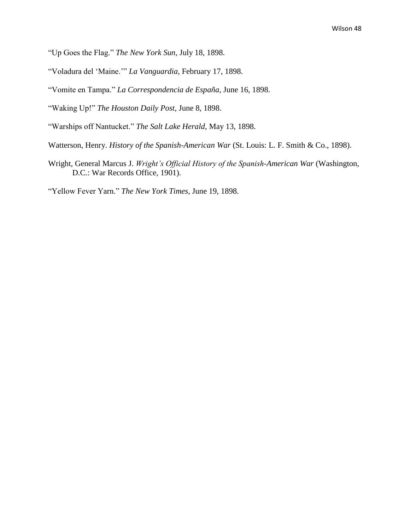- "Up Goes the Flag." *The New York Sun*, July 18, 1898.
- "Voladura del 'Maine.'" *La Vanguardia*, February 17, 1898.
- "Vomite en Tampa." *La Correspondencia de España*, June 16, 1898.
- "Waking Up!" *The Houston Daily Post*, June 8, 1898.
- "Warships off Nantucket." *The Salt Lake Herald*, May 13, 1898.
- Watterson, Henry. *History of the Spanish-American War* (St. Louis: L. F. Smith & Co., 1898).
- Wright, General Marcus J. *Wright's Official History of the Spanish-American War* (Washington, D.C.: War Records Office, 1901).

"Yellow Fever Yarn." *The New York Times*, June 19, 1898.